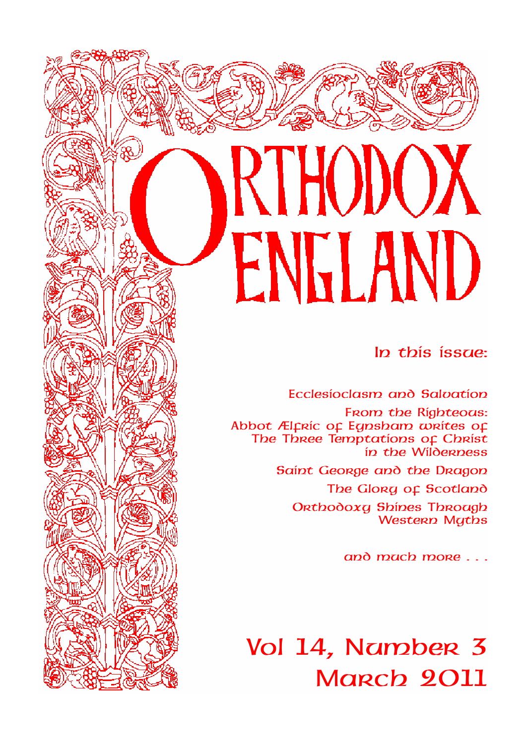# RTHODOX ENGLAND

In this issue:

Ecclesioclasm and Salvation From the Righteous: Abbot Ælfric of Egnsham writes of The Three Temptations of Christ in the Wilderness

Saint George and the Dragon

The Glorg of Scotland

Orthodoxy Shines Through Western Maths

and much more . . .

Vol 14, Number 3 March 2011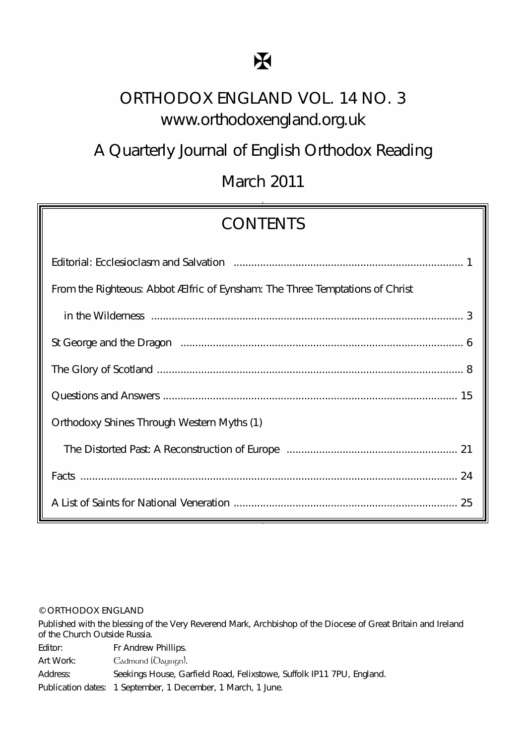# ORTHODOX ENGLAND VOL. 14 NO. 3 www.orthodoxengland.org.uk

# A Quarterly Journal of English Orthodox Reading

March 2011

# **CONTENTS**

| From the Righteous Abbot Ælfric of Eynsham: The Three Temptations of Christ                        |
|----------------------------------------------------------------------------------------------------|
|                                                                                                    |
| St George and the Dragon manufacture contracts and the Dragon manufacture contracts and the Dragon |
|                                                                                                    |
|                                                                                                    |
| Orthodoxy Shines Through Western Myths (1)                                                         |
|                                                                                                    |
|                                                                                                    |
|                                                                                                    |

#### © ORTHODOX ENGLAND

Published with the blessing of the Very Reverend Mark, Archbishop of the Diocese of Great Britain and Ireland of the Church Outside Russia.

Editor: Fr Andrew Phillips.

Art Work: Gadmund (Oaysign).

Address : Seekings House, Garfield Road, Felixstowe, Suffolk IP11 7PU, England.

Publication dates: 1 September, 1 D ecember, 1 March, 1 June.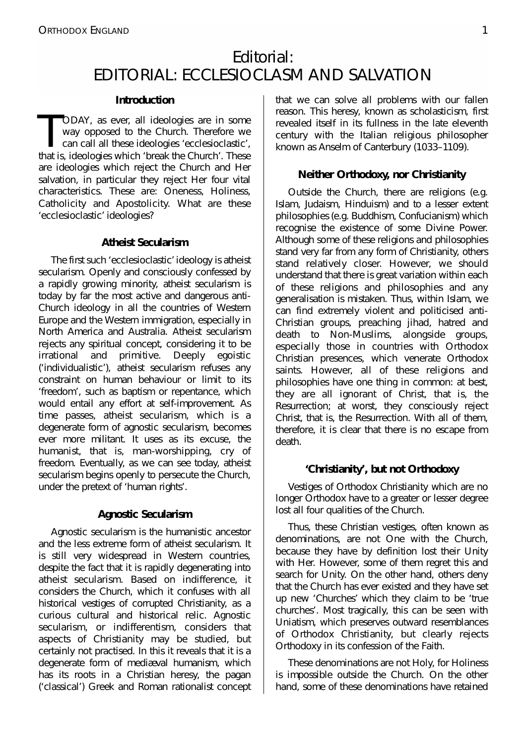# Editorial: ED ITO RIAL: ECCLESIO CLASM AND SALVATION

#### **Introduction**

ODAY, as ever, all ideologies are in some<br>way opposed to the Church. Therefore we<br>can call all these ideologies 'ecclesioclastic',<br>that is, ideologies which 'break the Church'. These 'ODAY, as ever, all ideologies are in some way opposed to the Church. Therefore we can call all these ideologies 'ecclesioclastic'. are ideologies which reject the Church and Her salvation, in particular they reject Her four vital characteristics. These are: O neness, Holiness, Catholicity and Apostolicity. What are these ' ecclesi oclastic' i deologies?

#### **Athei st Secul ari s m**

The first such 'ecclesioclastic' ideology is atheist secularism. Openly and consciously confessed by a rapidly growing minority, atheist secularism is today by far the most active and dangerous anti-Church ideology in all the countries of Western Europe and the Western immigration, especially in N orth America and Australia. Atheist secularism rejects any spiritual concept, considering it to be irrational and primitive. Deeply eqoistic ('individualistic'), atheist secularism refuses any constraint on human behaviour or limit to its ' freedom', such as baptism or repentance, which would entail any effort at self-improvement. As time passes, atheist secularism, which is a degenerate form of agnostic secularism, becomes ever more militant It uses as its excuse, the humanist, that is, man-worshipping, cry of freedom. Eventually, as we can see today, atheist secularism begins openly to persecute the Church, under the pretext of 'human rights'.

#### **Agn osti c Secul ari s m**

Agnostic secularism is the humanistic ancestor and the less extreme form of atheist secularism. It is still very widespread in Western countries, despite the fact that it is rapidly degenerating into atheist secularism. Based on indifference, it considers the Church, which it confuses with all historical vestiges of corrupted Christianity, as a curious cultural and historical relic. Agnostic secularism, or indifferentism, considers that aspects of Christianity may be studied, but certainly not practised. In this it reveals that it is a degenerate form of mediæval humanism, which has its roots in a Christian heresy, the pagan ('classical') Greek and Roman rationalist concept

that we can solve all problems with our fallen reason. This heresy, known as scholasticism, first revealed itself in its fullness in the late eleventh century with the Italian religious philosopher known as Anselm of Canterbury (1033-1109).

#### **N ei ther O rth odoxy, n or Chri sti ani t y**

Outside the Church, there are religions (e.g. Islam, Judaism, Hinduism) and to a lesser extent philosophies (e.g. Buddhism, Confucianism) which recognise the existence of some Divine Power. Al though some of these religions and philosophies stand very far from any form of Christianity, others stand relatively closer. However, we should understand that there is great variation within each of these religions and philosophies and any generalisation is mistaken. Thus, within Islam, we can find extremely violent and politicised anti-Christian groups, preaching jihad, hatred and death to N on-Muslims, alongside groups, especially those in countries with Orthodox Christian presences, which venerate Orthodox saints. However, all of these religions and philosophies have one thing in common: at best they are all ignorant of Christ, that is, the Resurrection; at worst, they consciously reject Christ, that is, the Resurrection. With all of them, therefore, it is clear that there is no escape from death .

#### **' Chri sti ani ty' , b ut not O rthod ox y**

Vestiges of Orthodox Christianity which are no longer O rthodox have to a greater or lesser degree lost all four qualities of the Church.

Thus, these Christian vestiges, often known as denominations, are not One with the Church, because they have by definition lost their Unity with Her. However, some of them regret this and search for Unity. On the other hand, others deny that the Church has ever existed and they have set up new 'Churches' which they claim to be 'true churches'. Most tragically, this can be seen with U niatism, which preserves outward resemblances of Orthodox Christianity, but clearly rejects Orthodoxy in its confession of the Faith.

These denominations are not Holy, for Holiness is impossible outside the Church. On the other hand, some of these denominations have retained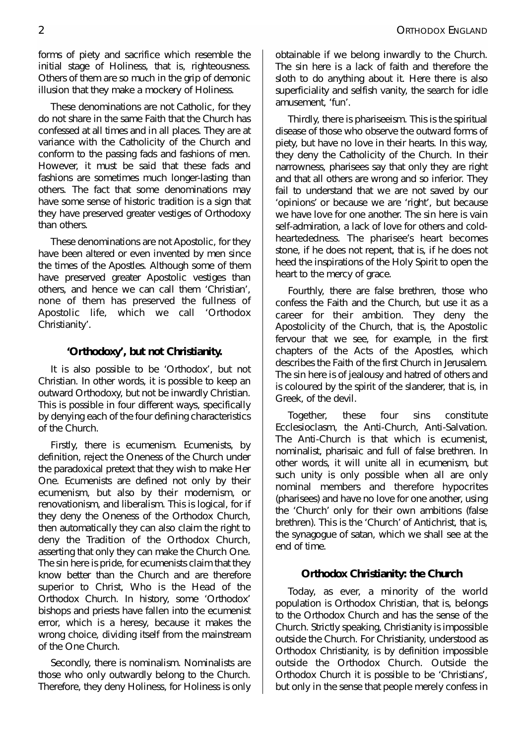forms of piety and sacrifice which resemble the initial stage of Holiness, that is, righteousness. O thers of them are so much in the grip of demonic ill usion that they make a mockery of Holiness.

These denominations are not Catholic, for they do not share in the same Faith that the Church has confessed at all times and in all places. They are at variance with the Catholicity of the Church and conform to the passing fads and fashions of men. However, it must be said that these fads and fashions are sometimes much longer-lasting than others. The fact that some denominations may have some sense of historic tradition is a sign that they have preserved greater vestiges of Orthodoxy than others.

These denominations are not Apostolic, for they have been altered or even invented by men since the times of the Apostles. Although some of them have preserved greater Apostolic vestiges than others, and hence we can call them 'Christian', none of them has preserved the fullness of Apostolic life, which we call 'Orthodox Christianity'.

#### **'O rth odox y' , b ut n ot Chri sti ani ty.**

It is also possible to be 'Orthodox', but not Christian. In other words, it is possible to keep an outward Orthodoxy, but not be inwardly Christian. This is possible in four different ways, specifically by denying each of the four defining characteristics of the Church.

Firstly, there is ecumenism. Ecumenists, by definition, reject the O neness of the Church under the paradoxical pretext that they wish to make Her One. Ecumenists are defined not only by their ecumenism, but also by their modernism, or ren ovationism, and liberalism. This is logical, for if they deny the Oneness of the Orthodox Church, then automatically they can also claim the right to deny the Tradition of the Orthodox Church, asserting that only they can make the Church One. The sin here is pride, for ecumenists claim that they know better than the Church and are therefore superior to Christ. Who is the Head of the Orthodox Church. In history, some 'Orthodox' bishops and priests have fallen into the ecumenist error, which is a heresy, because it makes the wrong choice, dividing itself from the mainstream of the One Church.

Secondly, there is nominalism. Nominalists are those who only outwardly belong to the Church. Therefore, they deny Holiness, for Holiness is only obtainable if we belong inwardly to the Church. The sin here is a lack of faith and therefore the sloth to do anything about it. Here there is also superficiality and selfish vanity, the search for idle amusement 'fun'.

Thirdly, there is phariseeism. This is the spiritual disease of those who observe the outward forms of piety, but have no love in their hearts. In this way, they deny the Catholicity of the Church. In their narrowness, pharisees say that only they are right and that all others are wrong and so inferior. They fail to understand that we are not saved by our ' opinions' or because we are 'right', but because we have love for one another. The sin here is vain self-admiration, a lack of love for others and coldheartededness. The pharisee's heart becomes stone, if he does not repent, that is, if he does not heed the inspirations of the Holy Spirit to open the heart to the mercy of grace.

Fourthly, there are false brethren, those who confess the Faith and the Church, but use it as a career for their ambition. They deny the Apostolicity of the Church, that is, the Apostolic fervour that we see, for example, in the first chapters of the Acts of the Apostles, which describes the Faith of the first Church in Jerusalem. The sin here is of jealousy and hatred of others and is coloured by the spirit of the slanderer, that is, in Greek, of the devil.

Together, these four sins constitute Ecclesioclasm, the Anti-Church, Anti-Salvation. The Anti-Church is that which is ecumenist. nominalist, pharisaic and full of false brethren. In other words, it will unite all in ecumenism, but such unity is only possible when all are only nominal members and therefore hypocrites (pharisees) and have no love for one another, using the 'Church' only for their own ambitions (false brethren). This is the 'Church' of Antichrist, that is the synagogue of satan, which we shall see at the end of time

#### **O rthod ox Chri sti ani ty: the Ch urc h**

Today, as ever, a minority of the world popul ation is Orthodox Christian, that is, belongs to the Orthodox Church and has the sense of the Church. Strictly speaking, Christianity is impossible outside the Church. For Christianity, understood as Orthodox Christianity, is by definition impossible outside the Orthodox Church. Outside the Orthodox Church it is possible to be 'Christians'. but only in the sense that people merely confess in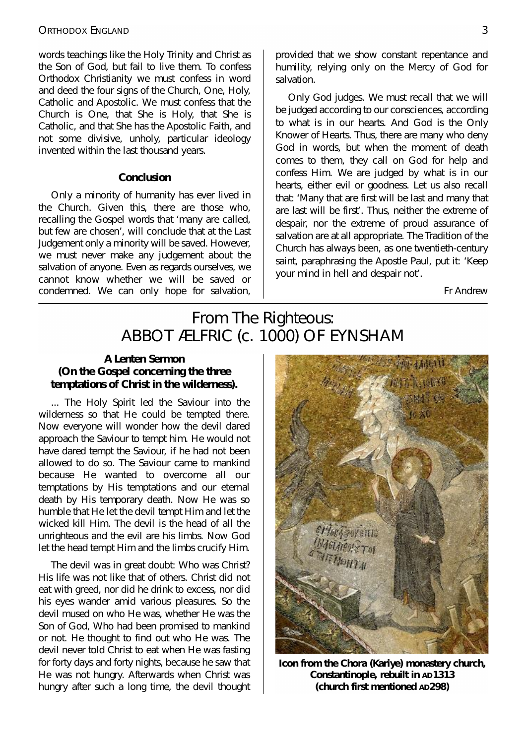#### O RTHODOX ENGLAND 3

words teachings like the Holy Trinity and Christ as the Son of God, but fail to live them. To confess Orthodox Christianity we must confess in word and deed the four signs of the Church, One, Holy, Catholic and Apostolic. We must confess that the Church is One, that She is Holy, that She is Catholic, and that She has the Apostolic Faith, and not some divisive, unholy, particular ideology invented within the last thousand vears.

#### $Conclusion$

Only a minority of humanity has ever lived in the Church. Given this, there are those who, recalling the G ospel words that 'many are called, but few are chosen', will conclude that at the Last Judgement only a minority will be saved. However, we must never make any judgement about the salvation of anyone. Even as regards ourselves, we cannot know whether we will be saved or condemned. We can only hope for salvation,

provided that we show constant repentance and humility, relying only on the Mercy of God for salvation.

Only God judges. We must recall that we will be judged according to our consciences, according to what is in our hearts. And God is the Only Knower of Hearts. Thus, there are many who deny God in words, but when the moment of death comes to them, they call on God for help and confess Him. We are judged by what is in our hearts, either evil or goodness. Let us also recall that 'Many that are first will be last and many that are last will be first'. Thus, neither the extreme of despair, nor the extreme of proud assurance of salvation are at all appropriate. The Tradition of the Church has always been, as one twentieth-century saint, paraphrasing the Apostle Paul, put it 'Keep your mind in hell and despair not.

*Fr An dre w*

# From The Righteous: ABBOT ÆLFRIC (c. 1000) OF EYN SHAM

#### **A** Lenten Sermon **(O n the G ospel conc erni ng the thre e temptations of Christ in the wilderness).**

... The Holy Spirit led the Saviour into the wilderness so that He could be tempted there. Now everyone will wonder how the devil dared approach the Saviour to tempt him. He would not have dared tempt the Saviour, if he had not been allowed to do so. The Saviour came to mankind because He wanted to overcome all our temptations by His temptations and our eternal death by His temporary death. Now He was so humble that He let the devil tempt H im and let the wicked kill Him. The devil is the head of all the unrighteous and the evil are his limbs. Now God let the head tempt Him and the limbs crucify Him.

The devil was in great doubt Who was Christ? His life was not like that of others. Christ did not eat with greed, nor did he drink to excess, nor did his eyes wander amid various pleasures. So the devil mused on who He was, whether He was the Son of G od, Who had been promised to mankind or not. He thought to find out who He was. The devil never told Christ to eat when He was fasting for forty days and forty nights, because he saw that He was not hungry. Afterwards when Christ was hungry after such a long time, the devil thought



*I con from the Chora (Karive) monastery church*, *Co nstanti nopl e, reb ui l t i n A D 1 31 3 (church fi rst menti oned A D 298 )*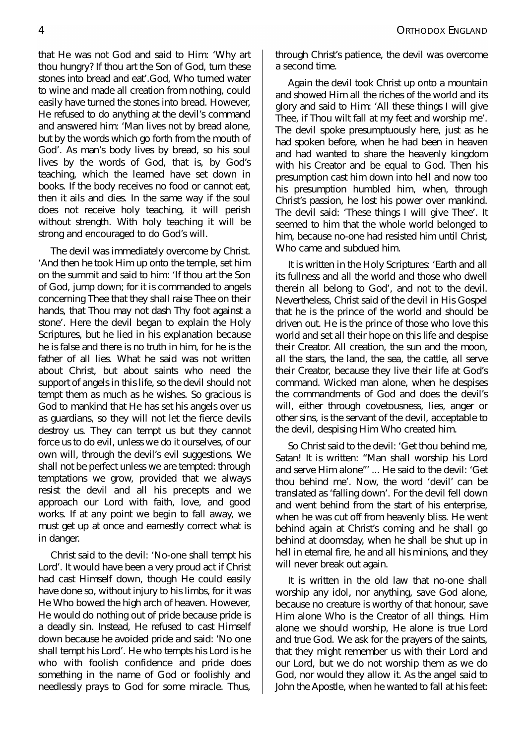that He was not God and said to Him: 'Why art thou hungry? If thou art the Son of God, turn these stones into bread and eat'. God, Who turned water to wine and made all creation from nothing, could easily have turned the stones into bread. However, He refused to do anything at the devil's command and answered him: 'Man lives not by bread alone, but by the words which go forth from the mouth of God'. As man's body lives by bread, so his soul lives by the words of God, that is, by God's teaching, which the learned have set down in books. If the body receives no food or cannot eat, then it ails and dies. In the same way if the soul does not receive holy teaching, it will perish without strength. With holy teaching it will be strong and encouraged to do G od's will.

The devil was immediately overcome by Christ. 'And then he took Him up onto the temple, set him on the summit and said to him: 'If thou art the Son of G od, jump down; for it is commanded to angels concerning Thee that they shall raise Thee on their hands, that Thou may not dash Thy foot against a stone'. Here the devil began to explain the Holy Scriptures, but he lied in his explanation because he is false and there is no truth in him, for he is the father of all lies. What he said was not written about Christ, but about saints who need the support of angels in this life, so the devil should not tempt them as much as he wishes. So gracious is God to mankind that He has set his angels over us as guardians, so they will not let the fierce devils destroy us. They can tempt us but they cannot force us to do evil, unless we do it ourselves, of our own will, through the devil's evil suggestions. We shall not be perfect unless we are tempted: through temptations we grow, provided that we always resist the devil and all his precepts and we approach our Lord with faith, love, and good works. If at any point we begin to fall away, we must get up at once and earnestly correct what is in danger.

Christ said to the devil: 'No-one shall tempt his Lord'. It would have been a very proud act if Christ had cast Himself down, though He could easily have done so, without injury to his limbs, for it was He Who bowed the high arch of heaven. However, He would do nothing out of pride because pride is a deadly sin. Instead, He refused to cast Himself down because he avoided pride and said: 'No one shall tempt his Lord'. He who tempts his Lord is he who with foolish confidence and pride does something in the name of God or foolishly and needlessly prays to G od for some miracle. Thus,

through Christ's patience, the devil was overcome a second time.

Again the devil took Christ up onto a mountain and showed Him all the riches of the world and its glory and said to Him: 'All these things I will give Thee, if Thou wilt fall at my feet and worship me'. The devil spoke presumptuously here, just as he had spoken before, when he had been in heaven and had wanted to share the heavenly kingdom with his Creator and be equal to God. Then his presumption cast him down into hell and now too his presumption humbled him, when, through Christ's passion, he lost his power over mankind. The devil said: 'These things I will give Thee'. It seemed to him that the whole world belonged to him, because no-one had resisted him until Christ, Who came and subdued him.

It is written in the Holy Scriptures 'Earth and all its fullness and all the world and those who dwell therein all belong to God', and not to the devil. N evertheless, Christ said of the devil in His Gospel that he is the prince of the world and should be driven out He is the prince of those who love this world and set all their hope on this life and despise their Creator. All creation, the sun and the moon, all the stars, the land, the sea, the cattle, all serve their Creator, because they live their life at God's command. Wicked man alone, when he despises the commandments of God and does the devil's will, either through covetousness, lies, anger or other sins, is the servant of the devil, acceptable to the devil, despising Him Who created him.

So Christ said to the devil: 'Get thou behind me, Satan! It is written: "Man shall worship his Lord and serve Him alone"' ... He said to the devil: 'Get thou behind me'. Now, the word 'devil' can be translated as 'falling down'. For the devil fell down and went behind from the start of his enterprise, when he was cut off from heavenly bliss. He went behind again at Christ's coming and he shall go behind at doomsday, when he shall be shut up in hell in eternal fire, he and all his minions, and they will never break out again.

It is written in the old law that no-one shall worship any idol, nor anything, save God alone, because no creature is worthy of that honour, save Him alone Who is the Creator of all things. Him alone we should worship, He alone is true Lord and true G od. We ask for the prayers of the saints, that they might remember us with their Lord and our Lord, but we do not worship them as we do God, nor would they allow it. As the angel said to John the Apostle, when he wanted to fall at his feet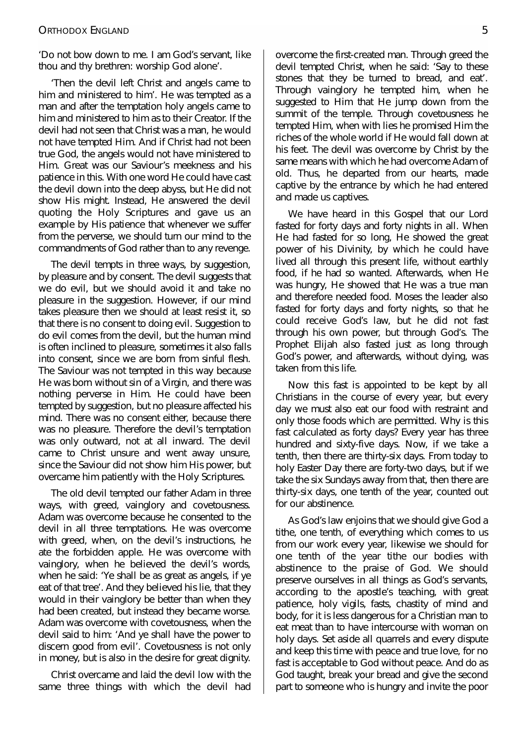'Do not bow down to me. I am God's servant like thou and thy brethren: worship God alone'.

'Then the devil left Christ and angels came to him and ministered to him'. He was tempted as a man and after the temptation holy angels came to him and ministered to him as to their Creator. If the devil had not seen that Christ was a man, he would not have tempted Him. And if Christ had not been true God, the angels would not have ministered to Him. Great was our Saviour's meekness and his patience in this. With one word He could have cast the devil down into the deep abyss, but He did not show His might. Instead, He answered the devil quoting the Holy Scriptures and gave us an example by His patience that whenever we suffer from the perverse, we should turn our mind to the commandments of G od rather than to any revenge.

The devil tempts in three ways, by suggestion, by pleasure and by consent. The devil suggests that we do evil, but we should avoid it and take no pleasure in the suggestion. However, if our mind takes pleasure then we should at least resist it, so that there is no consent to doing evil. Suggestion to do evil comes from the devil, but the human mind is often inclined to pleasure, sometimes it also falls into consent, since we are born from sinful flesh. The Saviour was not tempted in this way because He was born without sin of a Virgin, and there was nothing perverse in Him. He could have been tempted by suggestion, but no pleasure affected his mind. There was no consent either, because there was no pleasure. Therefore the devil's temptation was only outward, not at all inward. The devil came to Christ unsure and went away unsure, since the Saviour did not show him His power, but overcame him patiently with the Holy Scriptures.

The old devil tempted our father Adam in three ways, with greed, vainglory and covetousness. Adam was overcome because he consented to the devil in all three temptations. He was overcome with greed, when, on the devil's instructions, he ate the forbidden apple. He was overcome with vainglory, when he believed the devil's words, when he said: 'Ye shall be as great as angels, if ye eat of that tree'. And they believed his lie, that they would in their vainglory be better than when they had been created, but instead they became worse. Adam was overcome with covetousness, when the devil said to him: 'And ye shall have the power to discern good from evil'. Covetousness is not only in money, but is also in the desire for great dignity.

Christ overcame and laid the devil low with the same three things with which the devil had

overcome the first-created man. Through greed the devil tempted Christ, when he said: 'Say to these stones that they be turned to bread, and eat. Through vainglory he tempted him, when he suggested to Him that He jump down from the summit of the temple. Through covetousness he tempted Him, when with lies he promised Him the riches of the whole world if He would fall down at his feet. The devil was overcome by Christ by the same means with which he had overcome Adam of old. Thus, he departed from our hearts, made captive by the entrance by which he had entered and made us captives.

We have heard in this Gospel that our Lord fasted for forty days and forty nights in all. When He had fasted for so long, He showed the great power of his Divinity, by which he could have lived all through this present life, without earthly food, if he had so wanted. Afterwards, when He was hungry, He showed that He was a true man and therefore needed food. Moses the leader also fasted for forty days and forty nights, so that he could receive God's law, but he did not fast through his own power, but through God's. The Prophet Elijah also fasted just as long through G od's power, and afterwards, without dying, was taken from this life.

Now this fast is appointed to be kept by all Christians in the course of every year, but every day we must also eat our food with restraint and only those foods which are permitted. Why is this fast calculated as forty days? Every year has three hundred and sixty-five days. Now, if we take a tenth, then there are thirty-six days. From today to holy Easter Day there are forty-two days, but if we take the six Sundays away from that, then there are thirty-six days, one tenth of the year, counted out for our abstinence.

As G od's law enjoins that we should give G od a ti the, one tenth, of everything which comes to us from our work every year, likewise we should for one tenth of the year tithe our bodies with abstinence to the praise of God. We should preserve ourselves in all things as G od's servants, according to the apostle's teaching, with great patience, holy vigils, fasts, chastity of mind and body, for it is less dangerous for a Christian man to eat meat than to have intercourse with woman on holy days. Set aside all quarrels and every dispute and keep this time with peace and true love, for no fast is acceptable to G od without peace. And do as God taught, break your bread and give the second part to someone who is hungry and invite the poor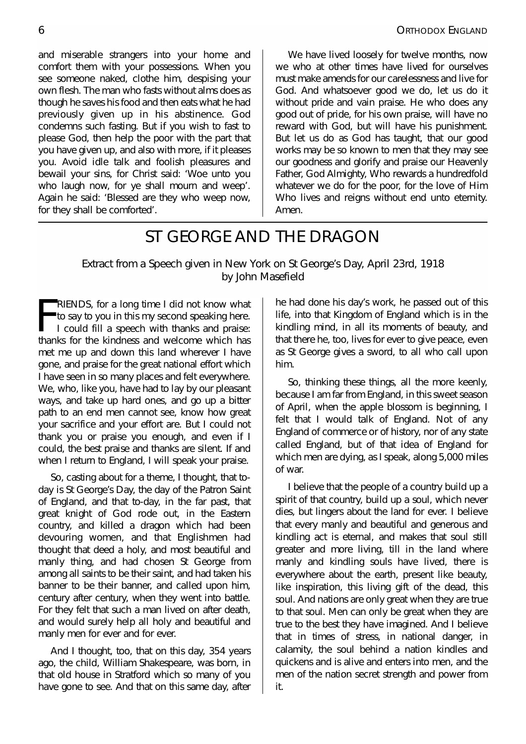and miserable strangers into your home and comfort them with your possessions. When you see someone naked, clothe him, despising your own flesh. The man who fasts without alms does as though he saves his food and then eats what he had previously given up in his abstinence. God condemns such fasting. But if you wish to fast to please God, then help the poor with the part that you have given up, and also with more, if it pleases you. Avoid idle talk and foolish pleasures and bewail your sins, for Christ said: 'Woe unto you who laugh now, for ye shall mourn and weep'. Again he said: 'Blessed are they who weep now, for they shall be comforted'.

We have lived loosely for twelve months, now we who at other times have lived for ourselves must make amends for our carelessness and live for God. And whatsoever good we do, let us do it without pride and vain praise. He who does any good out of pride, for his own praise, will have no reward with God, but will have his punishment. But let us do as G od has taught, that our good works may be so known to men that they may see our goodness and glorify and praise our Heavenly Father, God Almighty, Who rewards a hundredfold whatever we do for the poor, for the love of Him Who lives and reigns without end unto eternity. Amen .

# ST GEORGE AND THE DRAGON

Extract from a Speech given in New York on St George's Day, April 23rd, 1918  $b$ y *John Masefield* 

RIENDS, for a long time I did not know what<br>to say to you in this my second speaking here.<br>I could fill a speech with thanks and praise:<br>thanks for the kindness and welcome which has RIENDS, for a long time I did not know what to say to you in this my second speaking here. I could fill a speech with thanks and praise: met me up and down this land wherever I have gone, and praise for the great national effort which I have seen in so many places and felt everywhere. We, who, like you, have had to lay by our pleasant ways, and take up hard ones, and go up a bitter path to an end men cannot see, know how great your sacrifice and your effort are. But I could not thank you or praise you enough, and even if I could, the best praise and thanks are silent. If and when I return to England, I will speak your praise.

So, casting about for a theme, I thought, that today is St George's Day, the day of the Patron Saint of England, and that to-day, in the far past, that great knight of God rode out, in the Eastern country, and killed a dragon which had been devouring women, and that Englishmen had thought that deed a holy, and most beautiful and manly thing, and had chosen St George from among all saints to be their saint, and had taken his banner to be their banner, and called upon him, century after century, when they went into battle. For they felt that such a man lived on after death, and would surely help all holy and beautiful and manly men for ever and for ever.

And I thought, too, that on this day, 354 years ago, the child, William Shakespeare, was born, in that old house in Stratford which so many of you have gone to see. And that on this same day, after he had done his day's work, he passed out of this life, into that Kingdom of England which is in the kindling mind, in all its moments of beauty, and that there he, too, lives for ever to give peace, even as St George gives a sword, to all who call upon him

So, thinking these things, all the more keenly, because I am far from England, in this sweet season of April, when the apple blossom is beginning, I felt that I would talk of England. Not of any England of commerce or of history, nor of any state called England, but of that idea of England for which men are dying, as I speak, along 5,000 miles of war.

I believe that the people of a country build up a spirit of that country, build up a soul, which never dies, but lingers about the land for ever. I believe that every manly and beautiful and generous and kindling act is eternal, and makes that soul still greater and more living, till in the land where manly and kindling souls have lived, there is everywhere about the earth, present like beauty, like inspiration, this living gift of the dead, this soul. And nations are only great when they are true to that soul. Men can only be great when they are true to the best they have imagined. And I believe that in times of stress, in national danger, in calamity, the soul behind a nation kindles and quickens and is alive and enters into men, and the men of the nation secret strength and power from it.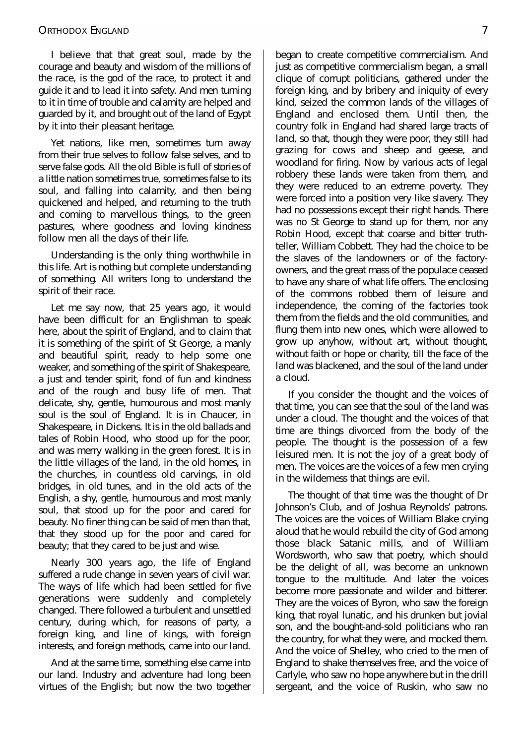#### ORTHODOX ENGLAND 7

I believe that that great soul, made by the courage and beauty and wisdom of the millions of the race, is the god of the race, to protect it and guide it and to lead it into safety. And men turning to it in time of trouble and calamity are helped and guarded by it, and brought out of the land of Egypt by it into their pleasant heritage.

Yet nations, like men, sometimes turn away from their true selves to follow false selves, and to serve false gods. All the old Bible is full of stories of a little nation sometimes true, sometimes false to its soul, and falling into calamity, and then being quickened and helped, and returning to the truth and coming to marvellous things, to the green pastures, where goodness and loving kindness follow men all the days of their life.

Understanding is the only thing worthwhile in this life. Art is nothing but complete understanding of something. All writers long to understand the spirit of their race.

Let me say now, that 25 years ago, it would have been difficult for an Englishman to speak here, about the spirit of England, and to claim that it is something of the spirit of St George, a manly and beautiful spirit, ready to help some one weaker, and something of the spirit of Shakespeare, a just and tender spirit, fond of fun and kindness and of the rough and busy life of men. That delicate, shy, gentle, humourous and most manly soul is the soul of England. It is in Chaucer, in Shakespeare, in Dickens. It is in the old ballads and tales of Robin Hood, who stood up for the poor, and was merry walking in the green forest It is in the little villages of the land, in the old homes, in the churches, in countless old carvings, in old bridges, in old tunes, and in the old acts of the English, a shy, gentle, humourous and most manly soul, that stood up for the poor and cared for beauty. No finer thing can be said of men than that, that they stood up for the poor and cared for beauty; that they cared to be just and wise.

Nearly 300 years ago, the life of England suffered a rude change in seven years of civil war. The ways of life which had been settled for five generations were suddenly and completely changed. There followed a turbulent and unsettled century, during which, for reasons of party, a foreign king, and line of kings, with foreign interests, and foreign methods, came into our land.

And at the same time, something else came into our land. Industry and adventure had long been virtues of the English; but now the two together began to create competitive commercialism. And just as competitive commercialism began, a small clique of corrupt politicians, gathered under the foreign king, and by bribery and iniquity of every kind, seized the common lands of the villages of England and enclosed them. Until then, the country folk in England had shared large tracts of land, so that, though they were poor, they still had grazing for cows and sheep and geese, and woodland for firing. Now by various acts of legal robbery these lands were taken from them, and they were reduced to an extreme poverty. They were forced into a position very like slavery. They had no possessions except their right hands. There was no St George to stand up for them, nor any Robin Hood, except that coarse and bitter truthteller, William Cobbett. They had the choice to be the slaves of the landowners or of the factoryowners, and the great mass of the populace ceased to have any share of what life offers. The enclosing of the commons robbed them of leisure and independence, the coming of the factories took them from the fields and the old communities, and flung them into new ones, which were allowed to grow up anyhow, without art, without thought, without faith or hope or charity, till the face of the land was blackened, and the soul of the land under a cloud

If you consider the thought and the voices of that time, you can see that the soul of the land was under a cloud. The thought and the voices of that time are things divorced from the body of the people. The thought is the possession of a few leisured men. It is not the joy of a great body of men. The voices are the voices of a few men crying in the wilderness that things are evil.

The thought of that time was the thought of Dr Johnson's Club, and of Joshua Reynolds' patrons. The voices are the voices of William Blake crying aloud that he would rebuild the city of G od among those black Satanic mills, and of William Wordsworth, who saw that poetry, which should be the delight of all, was become an unknown tongue to the multitude. And later the voices become more passionate and wilder and bitterer. They are the voices of Byron, who saw the foreign king, that royal lunatic, and his drunken but joyial son, and the bought-and-sold politicians who ran the country, for what they were, and mocked them. And the voice of Shelley, who cried to the men of England to shake themselves free, and the voice of Carlyle, who saw no hope anywhere but in the drill sergeant, and the voice of Ruskin, who saw no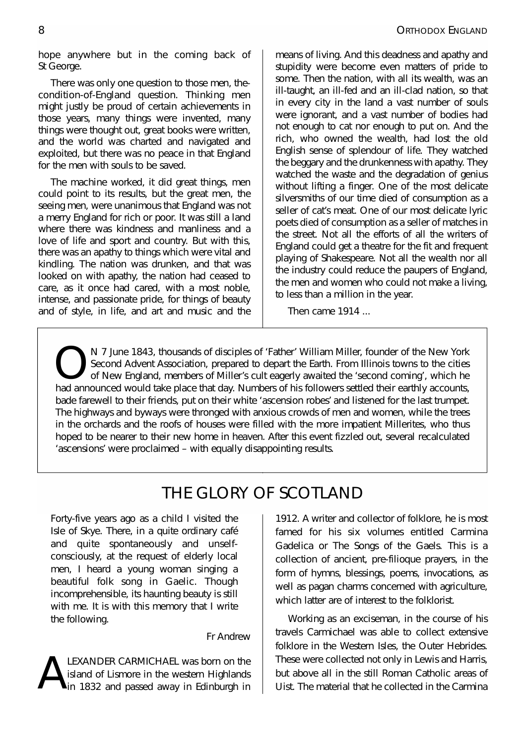hope anywhere but in the coming back of St G eorge.

There was only one question to those men, thecondition-of-England question. Thinking men might justly be proud of certain achievements in those years, many things were invented, many things were thought out, great books were written, and the world was charted and navigated and exploited, but there was no peace in that England for the men with souls to be saved.

The machine worked, it did great things, men could point to its results, but the great men, the seeing men, were unanimous that England was not a merry England for rich or poor. It was still a land where there was kindness and manliness and a love of life and sport and country. But with this, there was an apathy to things which were vital and kindling. The nation was drunken, and that was looked on with apathy, the nation had ceased to care, as it once had cared, with a most noble, intense, and passionate pride, for things of beauty and of style, in life, and art and music and the means of living. And this deadness and apathy and stupidity were become even matters of pride to some. Then the nation, with all its wealth, was an ill-taught, an ill-fed and an ill-clad nation, so that in every city in the land a vast number of souls were ignorant, and a vast number of bodies had not enough to cat nor enough to put on. And the rich, who owned the wealth, had lost the old English sense of splendour of life. They watched the beggary and the drunkenness with apathy. They watched the waste and the degradation of genius without lifting a finger. One of the most delicate silversmiths of our time died of consumption as a seller of cat's meat. One of our most delicate lyric poets died of consumption as a seller of matches in the street. Not all the efforts of all the writers of England could get a theatre for the fit and frequent playing of Shakespeare. Not all the wealth nor all the industry could reduce the paupers of England, the men and women who could not make a living, to less than a million in the year.

Then came 1914 ...

N 7 June 1843, thousands of disciples of 'Father' William Miller, founder of the New York<br>Second Advent Association, prepared to depart the Earth. From Illinois towns to the cities<br>of New England, members of Miller's cult N 7 June 1843, thousands of disciples of 'Father' William Miller, founder of the New York Second Advent Association, prepared to depart the Earth. From Illinois towns to the cities of New England, members of Miller's cult eagerly awaited the 'second coming', which he bade farewell to their friends, put on their white 'ascension robes' and listened for the last trumpet. The highways and byways were thronged with anxious crowds of men and women, while the trees in the orchards and the roofs of houses were filled with the more impatient Millerites, who thus hoped to be nearer to their new home in heaven. After this event fizzled out, several recalculated ' ascensions' were proclaimed - with equally disappointing results.

# THE GLORY OF SCOTLAND

Forty-five years ago as a child I visited the Isle of Skye. There, in a quite ordinary café and quite spontaneously and unselfconsciously, at the request of elderly local men, I heard a young woman singing a beautiful folk song in Gaelic. Though incomprehensible, its haunting beauty is still with me. It is with this memory that I write the following.

*Fr Andre w*

A LEXANDER CARMICHAEL was born on the island of Lismore in the western Highlands in 1832 and passed away in Edinburgh in

1912. A writer and collector of folklore, he is most famed for his six volumes entitled *Carmina Gadelica* or *The Songs of the Gaels* This is a collection of ancient, pre-*filioque* prayers, in the form of hymns, blessings, poems, invocations, as well as pagan charms concerned with agriculture, which latter are of interest to the folklorist.

Working as an exciseman, in the course of his travels Carmichael was able to collect extensive folklore in the Western Isles, the Outer Hebrides. These were collected not only in Lewis and Harris, but above all in the still Roman Catholic areas of U ist. The material that he collected in the *Carmina*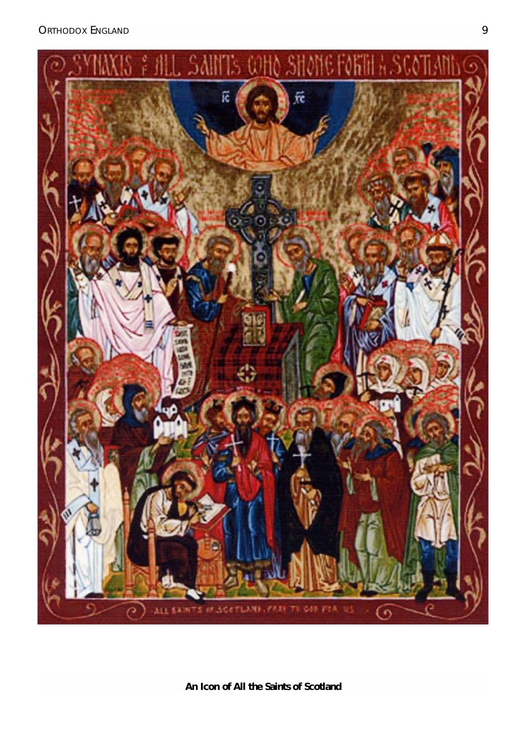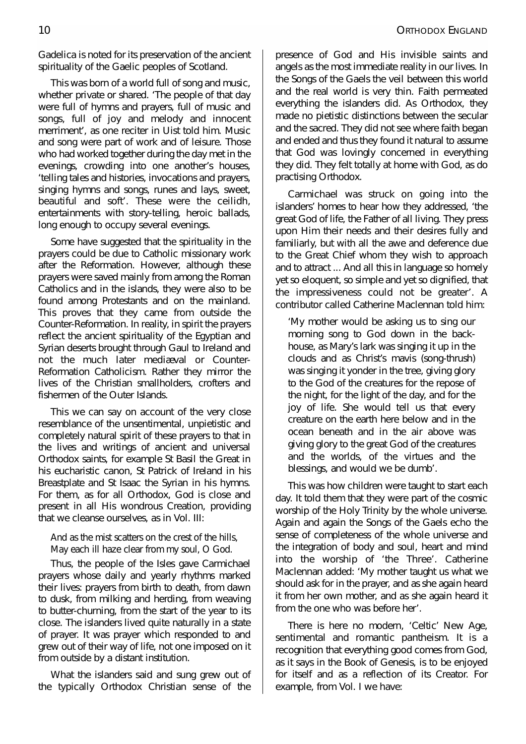*G adelica* is noted for its preservation of the ancient spirituality of the G aelic peoples of Scotland.

This was born of a world full of song and music, whether private or shared. 'The people of that day were full of hymns and prayers, full of music and songs, full of joy and melody and innocent merriment, as one reciter in U ist told him. Music and song were part of work and of leisure. Those who had worked together during the day met in the evenings, crowding into one another's houses, ' telling tales and histories, invocations and prayers, singing hymns and songs, runes and lays, sweet be autiful and soft. These were the *ceilidh*, entertainments with story-telling, heroic ballads, long enough to occupy several evenings.

Some have suggested that the spirituality in the prayers could be due to Catholic missionary work after the Reformation. However, although these prayers were saved mainly from among the Roman Catholics and in the islands, they were also to be found among Protestants and on the mainland. This proves that they came from outside the Counter-Reformation. In reality, in spirit the prayers reflect the ancient spirituality of the Egyptian and Syrian deserts brought through G aul to I reland and not the much later mediæval or Counter-Reformation Catholicism. Rather they mirror the lives of the Christian small holders, crofters and fishermen of the Outer Islands.

This we can say on account of the very close resemblance of the unsentimental, unpietistic and completely natural spirit of these prayers to that in the lives and writings of ancient and universal Orthodox saints, for example St Basil the Great in his eucharistic canon, St Patrick of Ireland in his *Breastplate* and St Isaac the Syrian in his hymns. For them, as for all Orthodox, God is close and present in all His wondrous Creation, providing that we cleanse ourselves, as in Vol. III:

And as the mist scatters on the crest of the hills. May each ill haze clear from my soul, O G od.

Thus, the people of the Isles gave Carmichael prayers whose daily and yearly rhythms marked their lives: prayers from birth to death, from dawn to dusk, from milking and herding, from weaving to butter-churning, from the start of the year to its close. The islanders lived quite naturally in a state of prayer. It was prayer which responded to and grew out of their way of life, not one imposed on it from outside by a distant institution.

What the islanders said and sung grew out of the typically Orthodox Christian sense of the

presence of God and His invisible saints and angels as the most immediate reality in our lives. In the Songs of the G aels the veil between this world and the real world is very thin. Faith permeated everything the islanders did. As Orthodox, they made no pietistic distinctions between the secular and the sacred. They did not see where faith began and ended and thus they found it natural to assume that God was lovingly concerned in everything they did. They felt totally at home with God, as do practising Orthodox.

Carmichael was struck on going into the islanders' homes to hear how they addressed, 'the great G od of life, the Father of all living. They press upon Him their needs and their desires fully and familiarly, but with all the awe and deference due to the Great Chief whom they wish to approach and to attract ... And all this in language so homely yet so eloquent, so simple and yet so dignified, that the impressiveness could not be greater'. A contributor called Catherine Maclennan told him:

'My mother would be asking us to sing our morning song to God down in the backhouse, as Mary's lark was singing it up in the clouds and as Christ's mavis (song-thrush) was singing it yonder in the tree, giving glory to the G od of the creatures for the repose of the night, for the light of the day, and for the joy of life. She would tell us that every creature on the earth here below and in the ocean beneath and in the air above was giving glory to the great G od of the creatures and the worlds, of the virtues and the blessings, and would we be dumb'.

This was how children were taught to start each day. It told them that they were part of the cosmic worship of the Holy Trinity by the whole universe. Again and again the Songs of the Gaels echo the sense of completeness of the whole universe and the integration of body and soul, heart and mind into the worship of 'the Three'. Catherine Maclennan added: 'My mother taught us what we should ask for in the prayer, and as she again heard it from her own mother, and as she again heard it from the one who was before her'.

There is here no modern, 'Celtic' New Age, sentimental and romantic pantheism. It is a recognition that everything good comes from God, as it says in the Book of Genesis, is to be enjoyed for itself and as a reflection of its Creator. For example, from Vol. I we have: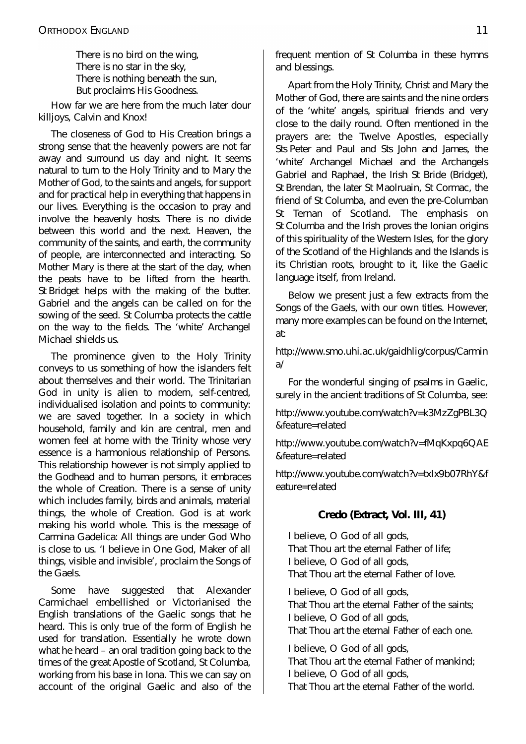There is no bird on the wing, There is no star in the sky, There is nothing beneath the sun, But proclaims His G oodness.

How far we are here from the much later dour killjoys, Calvin and Knox!

The closeness of God to His Creation brings a strong sense that the heavenly powers are not far away and surround us day and night. It seems natural to turn to the Holy Trinity and to Mary the Mother of God, to the saints and angels, for support and for practical help in everything that happens in our lives. Everything is the occasion to pray and involve the heavenly hosts. There is no divide between this world and the next. Heaven, the community of the saints, and earth, the community of people, are interconnected and interacting. So Mother Mary is there at the start of the day, when the peats have to be lifted from the hearth. St Bridget helps with the making of the butter. Gabriel and the angels can be called on for the sowing of the seed. St Columba protects the cattle on the way to the fields. The 'white' Archangel Michael shields us

The prominence given to the Holy Trinity conveys to us something of how the islanders felt about themselves and their world. The Trinitarian God in unity is alien to modern, self-centred, individualised isolation and points to community: we are saved together. In a society in which household, family and kin are central, men and women feel at home with the Trinity whose very essence is a harmonious relationship of Persons. This relationship however is not simply applied to the Godhead and to human persons, it embraces the whole of Creation. There is a sense of unity which includes family, birds and animals, material things, the whole of Creation. God is at work making his world whole. This is the message of Carmina Gadelica: All things are under God Who is close to us. 'I believe in One God, Maker of all things, visible and invisible', proclaim the Songs of the Gaels.

Some have suggested that Alexander Carmichael embellished or Victorianised the English translations of the Gaelic songs that he heard. This is only true of the form of English he used for translation. Essentially he wrote down what he heard – an oral tradition going back to the times of the great Apostle of Scotland, St Columba, working from his base in Iona. This we can say on account of the original Gaelic and also of the

frequent mention of St Columba in these hymns and blessings.

Apart from the Holy Trinity, Christ and Mary the Mother of God, there are saints and the nine orders of the 'white' angels, spiritual friends and very close to the daily round. Often mentioned in the prayers are: the Twelve Apostles, especially Sts Peter and Paul and Sts John and James, the ' white' Archangel Michael and the Archangels G abriel and Raphael, the Irish St Bride (Bridget), St Brendan, the later St Maolruain, St Cormac, the friend of St Columba, and even the pre-Columban St Ternan of Scotland. The emphasis on St Columba and the Irish proves the Ionian origins of this spirituality of the Western Isles, for the glory of the Scotland of the Highlands and the Islands is its Christian roots, brought to it, like the Gaelic language itself, from Ireland.

Below we present just a few extracts from the *Songs of the Gaels*, with our own titles. However, many more examples can be found on the Internet, at

http://www.smo.uhi.ac.uk/gaidhlig/corpus/Carmin  $a/$ 

For the wonderful singing of psalms in Gaelic, surely in the ancient traditions of St Columba, see:

http://www.youtube.com/watch?v=k3MzZ gPBL3Q & feature= rel ate d

http://www.youtube.com/watch?v=fMqKxpq6QAE & feature= rel ate d

http://www.youtube.com/watch?v=txIx9b07RhY&f eature=related

**Credo** (Extract, Vol. III, 41)

I believe, O God of all gods, That Thou art the eternal Father of life; I believe, O God of all gods, That Thou art the eternal Father of love.

I believe, O God of all gods, That Thou art the eternal Father of the saints: I believe, O God of all gods, That Thou art the eternal Father of each one.

I believe, O God of all gods, That Thou art the eternal Father of mankind; I believe, O G od of all gods, That Thou art the eternal Father of the world.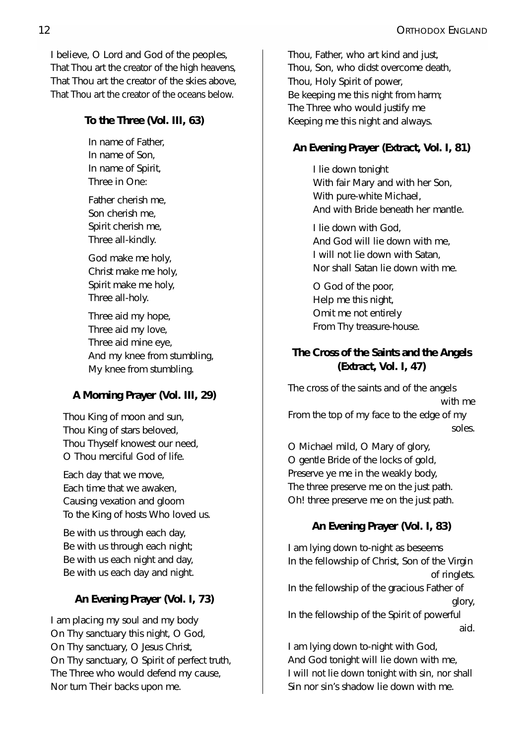I believe, O Lord and God of the peoples, That Thou art the creator of the high heavens, That Thou art the creator of the skies above. That Thou art the creator of the oceans below

**To the T hre e (Vol . III , 63)**

In name of Father. In name of Son, In name of Spirit, Three in One:

Father cherish me Son cherish me. Spirit cherish me, Three all-kindly.

G od make me holy, Christ make me holy, Spirit make me holy, Three all-holy.

Three aid my hope, Three aid my love, Three aid mine eye, And my knee from stumbling, My knee from stumbling.

**A Morni ng Prayer (Vol . III , 29)**

Thou King of moon and sun, Thou King of stars beloved, Thou Thyself knowest our need,  $O$  Thou merciful G od of life.

Each day that we move, Each time that we awaken, Causing vexation and gloom To the King of hosts Who loved us.

Be with us through each day, Be with us through each night Be with us each night and day, Be with us each day and night.

**An Eveni ng Prayer (Vol . I , 73 )**

I am placing my soul and my body On Thy sanctuary this night, O God, On Thy sanctuary, O Jesus Christ, On Thy sanctuary, O Spirit of perfect truth, The Three who would defend my cause, N or turn Their backs upon me.

Thou, Father, who art kind and just, Thou, Son, who didst overcome death, Thou, Holy Spirit of power, Be keeping me this night from harm; The Three who would justify me Keeping me this night and always.

**An Eveni ng Prayer (E xtra ct, Vol . I , 81 )**

I lie down tonight With fair Mary and with her Son, With pure-white Michael, And with Bride beneath her mantle.

I lie down with God. And God will lie down with me. I will not lie down with Satan, Nor shall Satan lie down with me.

O God of the poor. Help me this night, O mit me not entirely From Thy treasure-house.

**T he Cross of the S ai nts and the Ang el s (E xtra ct, Vol . I , 47)**

The cross of the saints and of the angels with me From the top of my face to the edge of my sol es.

O Michael mild, O Mary of glory, O gentle Bride of the locks of gold, Preserve ye me in the weakly body, The three preserve me on the just path. Oh! three preserve me on the just path.

**An Eveni ng Prayer (Vol . I , 83 )**

I am lying down to-night as beseems In the fellowship of Christ, Son of the Virgin of ringlets. In the fellowship of the gracious Father of glory, In the fellowship of the Spirit of powerful aid.

I am lying down to-night with God, And God tonight will lie down with me, I will not lie down tonight with sin, nor shall Sin nor sin's shadow lie down with me.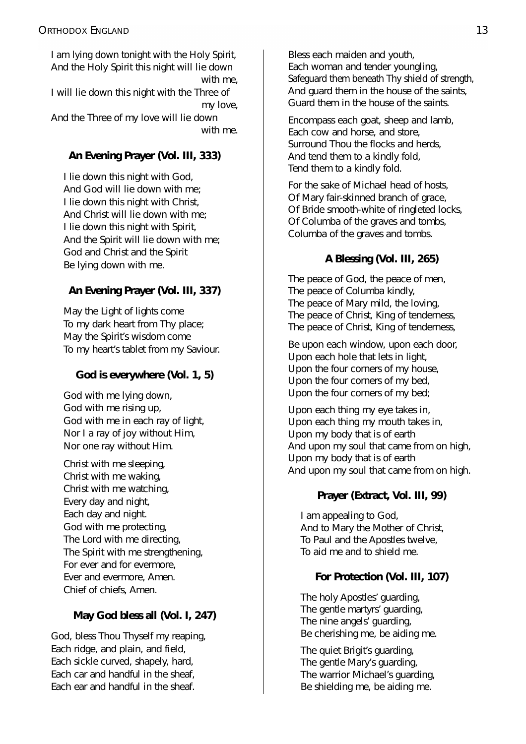#### ORTHODOX ENGLAND 13

I am lying down tonight with the Holy Spirit, And the Holy Spirit this night will lie down with me, I will lie down this night with the Three of my love, And the Three of my love will lie down with me.

#### **An Eveni ng Prayer (Vol . III , 333 )**

I lie down this night with God, And God will lie down with me; I lie down this night with Christ, And Christ will lie down with me; I lie down this night with Spirit, And the Spirit will lie down with me; God and Christ and the Spirit Be lying down with me.

**An Eveni ng Prayer (Vol . III , 337 )**

May the Light of lights come To my dark heart from Thy place: May the Spirit's wisdom come To my heart's tablet from my Saviour.

**G od i s everywhere (Vol . 1 , 5 )**

God with me lying down, God with me rising up, God with me in each ray of light. Nor I a ray of joy without Him, Nor one ray without Him.

Christ with me sleeping, Christ with me waking, Christ with me watching, Every day and night, Each day and night. God with me protecting, The Lord with me directing, The Spirit with me strengthening, For ever and for evermore, Ever and evermore, Amen. Chief of chiefs, Amen.

**Ma y G o d bl ess al l (Vol . I , 247)**

God, bless Thou Thyself my reaping, Each ridge, and plain, and field, Each sickle curved, shapely, hard, Each car and handful in the sheaf. Each ear and handful in the sheaf.

Bless each maiden and youth, Each woman and tender youngling, Safeguard them beneath Thy shield of strength, And guard them in the house of the saints, Guard them in the house of the saints.

Encompass each goat, sheep and lamb, Each cow and horse, and store, Surround Thou the flocks and herds And tend them to a kindly fold, Tend them to a kindly fold.

For the sake of Michael head of hosts. Of Mary fair-skinned branch of grace, Of Bride smooth-white of ringleted locks, O f Columba of the graves and tombs, Columba of the graves and tombs.

**A Bl essi ng (Vol . III , 265 )**

The peace of G od, the peace of men, The peace of Columba kindly, The peace of Mary mild, the loving, The peace of Christ, King of tenderness, The peace of Christ, King of tenderness,

Be upon each window, upon each door, U pon each hole that lets in light, U pon the four corners of my house, U pon the four corners of my bed, U pon the four corners of my bed;

U pon each thing my eye takes in, U pon each thing my mouth takes in, U pon my body that is of earth And upon my soul that came from on high, U pon my body that is of earth And upon my soul that came from on high.

**Prayer** (Extract, Vol. III, 99)

I am appealing to God, And to Mary the Mother of Christ, To Paul and the Apostles twelve, To aid me and to shield me

**For Protection (Vol. III, 107)** 

The holy Apostles' guarding, The gentle martyrs' guarding, The nine angels' guarding, Be cherishing me, be aiding me.

The quiet Brigit's guarding, The gentle Mary's guarding, The warrior Michael's quarding, Be shielding me, be aiding me.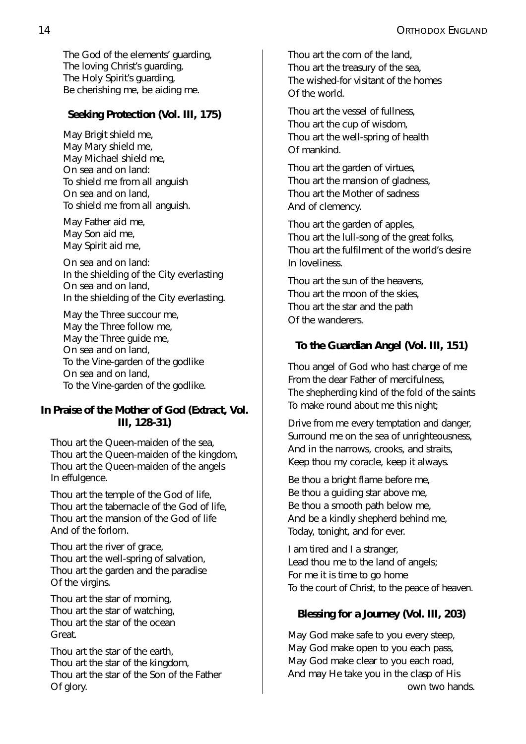The G od of the elements' quarding, The loving Christ's guarding. The Holy Spirit's guarding, Be cherishing me, be aiding me.

**Seeki ng Prote cti on (Vol . III , 1 75 )**

May Brigit shield me, May Mary shield me, May Michael shield me, On sea and on land: To shield me from all anguish On sea and on land, To shield me from all anguish.

May Father aid me, May Son aid me, May Spirit aid me,

On sea and on land: In the shielding of the City everlasting On sea and on land, In the shielding of the City everlasting.

May the Three succour me. May the Three follow me. May the Three guide me, On sea and on land, To the Vine-garden of the godlike On sea and on land, To the Vine-garden of the godlike.

**I n Prai se of the Mother of G o d (E xtra ct, Vol . III , 1 28-31)**

Thou art the Queen-maiden of the sea. Thou art the Queen-maiden of the kingdom, Thou art the Queen-maiden of the angels In effulgence.

Thou art the temple of the God of life, Thou art the tabernacle of the G od of life. Thou art the mansion of the God of life And of the forlorn.

Thou art the river of grace, Thou art the well-spring of salvation, Thou art the garden and the paradise Of the virgins.

Thou art the star of morning, Thou art the star of watching. Thou art the star of the ocean G reat .

Thou art the star of the earth, Thou art the star of the kingdom, Thou art the star of the Son of the Father O f glory.

Thou art the corn of the land. Thou art the treasury of the sea, The wished-for visitant of the homes O f the world.

Thou art the vessel of fullness, Thou art the cup of wisdom, Thou art the well-spring of heal th Of mankind.

Thou art the garden of virtues, Thou art the mansion of gladness, Thou art the Mother of sadness And of clemency.

Thou art the garden of apples, Thou art the lull-song of the great folks, Thou art the ful filment of the world's desire In loveliness.

Thou art the sun of the heavens Thou art the moon of the skies, Thou art the star and the path O f the wanderers.

**To the G uardi an Ang el (Vol . III , 1 51 )**

Thou angel of G od who hast charge of me From the dear Father of mercifulness. The shepherding kind of the fold of the saints To make round about me this night;

D rive from me every temptation and danger, Surround me on the sea of unrighteousness, And in the narrows, crooks, and straits, Keep thou my coracle, keep it always.

Be thou a bright flame before me, Be thou a quiding star above me. Be thou a smooth path below me, And be a kindly shepherd behind me, Today, tonight, and for ever.

I am tired and I a stranger, Lead thou me to the land of angels; For me it is time to go home To the court of Christ, to the peace of heaven.

**Bl es si ng for a Journe y (Vol . III , 203)**

May God make safe to you every steep, May God make open to you each pass, May God make clear to you each road, And may He take you in the clasp of His own two hands .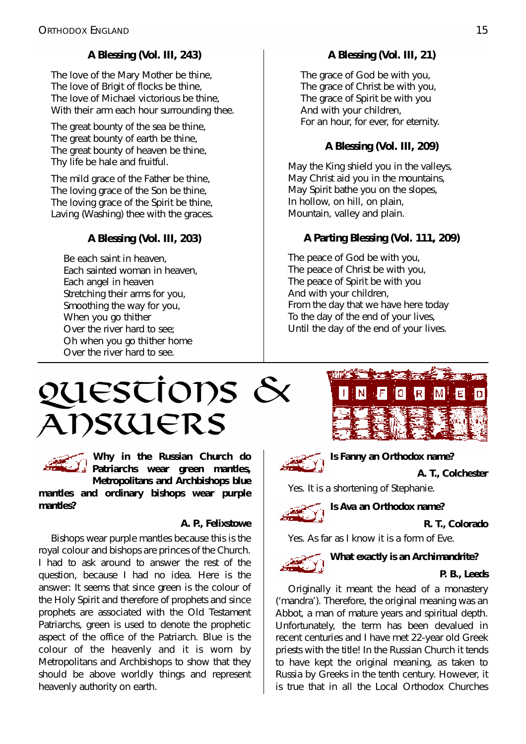**A Bl es si ng (Vol . III , 243)**

The love of the Mary Mother be thine, The love of Brigit of flocks be thine, The love of Michael victorious be thine, With their arm each hour surrounding thee.

The great bounty of the sea be thine, The great bounty of earth be thine, The great bounty of heaven be thine. Thy life be hale and fruitful.

The mild grace of the Father be thine, The loving grace of the Son be thine, The loving grace of the Spirit be thine, Laving (Washing) thee with the graces.

**A Bl es si ng (Vol . III , 203)**

Be each saint in heaven. Each sainted woman in heaven. Each angel in heaven Stretching their arms for you, Smoothing the way for you, When you go thither O ver the river hard to see; Oh when you go thither home O ver the river hard to see.

**A Bl essi ng (Vol . III , 21)**

The grace of G od be with you, The grace of Christ be with you, The grace of Spirit be with you And with your children, For an hour, for ever, for eternity.

**A Bl essi ng (Vol . III , 209 )**

May the King shield you in the valleys, May Christ aid you in the mountains, May Spirit bathe you on the slopes, In hollow, on hill, on plain, Mountain, valley and plain.

**A Parti ng Bl es si ng (Vol . 1 1 1 , 209)**

The peace of G od be wi th you, The peace of Christ be with you, The peace of Spirit be with you And with your children, From the day that we have here today To the day of the end of your lives, Until the day of the end of your lives.

# QUESTIONS & ANSWERS

![](_page_16_Picture_14.jpeg)

**Why i n th e Ru ssi an Ch urch d o Patriarchs wear green mantles Metropol i tans and Archbi sh ops bl u e**

**mantles** and ordinary bishops wear purple mantles?

#### *A. P. , Fel i xstow e*

Bi shops wear purple mantles because this is the royal colour and bishops are princes of the Church. I had to ask around to answer the rest of the question, because I had no idea. Here is the answer: It seems that since green is the colour of the Holy Spirit and therefore of prophets and since prophets are associated with the Old Testament Patri archs, green is used to denote the prophetic aspect of the office of the Patriarch. Blue is the colour of the heavenly and it is worn by Metropolitans and Archbishops to show that they should be above worldly things and represent heavenly authority on earth.

![](_page_16_Picture_19.jpeg)

![](_page_16_Picture_20.jpeg)

**I s Fanny an O rthodox name ?**

*A. T. , Col cheste r*

Yes. It is a shortening of Stephanie.

![](_page_16_Picture_24.jpeg)

**I s Ava an O rthodox name ?**

*R. T. , Col orad o*

Yes. As far as I know it is a form of Eve.

![](_page_16_Picture_28.jpeg)

**What exactl y i s an Archi mandri te ?**

*P. B. , Leed s*

O riginally it meant the head of a monastery ('mandra'). Therefore, the original meaning was an Abbot, a man of mature years and spiritual depth. Unfortunately, the term has been devalued in recent centuries and I have met 22-year old Greek priests with the title! In the Russian Church it tends to have kept the original meaning, as taken to Russia by Greeks in the tenth century. However, it is true that in all the Local Orthodox Churches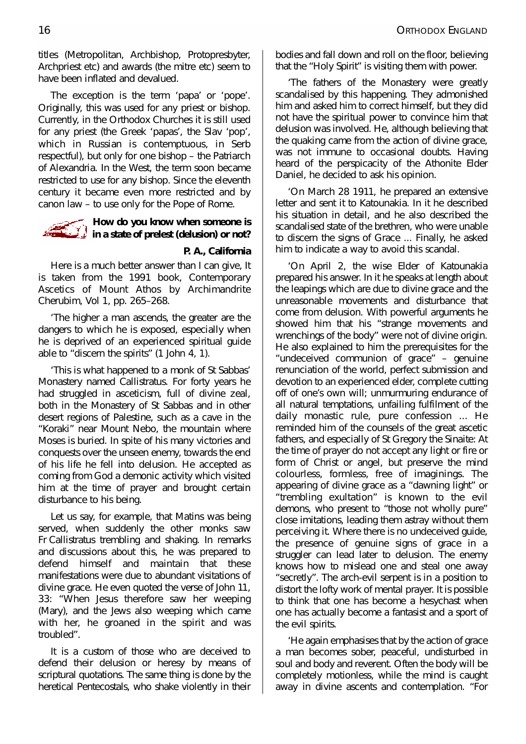titles (Metropolitan, Archbishop, Protopresbyter, Archpriest etc) and awards (the mitre etc) seem to have been inflated and devalued.

The exception is the term 'papa' or 'pope'. O riginally, this was used for any priest or bishop. Currently, in the Orthodox Churches it is still used for any priest (the Greek 'papas', the Slav 'pop', which in Russian is contemptuous, in Serb respectful), but only for one bishop - the Patriarch of Alexandria. In the West, the term soon became restricted to use for any bishop. Since the eleventh century it became even more restricted and by canon law - to use only for the Pope of Rome.

![](_page_17_Picture_3.jpeg)

**H ow do you know when someone i s i n a state of prel est (del usi on) or n ot ?**

#### *P. A. , Cal i forni a*

Here is a much better answer than I can give, It is taken from the 1991 book, *Contemporary* Ascetics of Mount Athos by Archimandrite Cherubim, Vol 1, pp. 265-268.

'The higher a man ascends, the greater are the dangers to which he is exposed, especially when he is deprived of an experienced spiritual guide able to " discern the spirits"  $(1 \text{ John } 4, 1)$ .

' This is what happened to a monk of St Sabbas' Monastery named Callistratus. For forty years he had struggled in asceticism, full of divine zeal, both in the Monastery of St Sabbas and in other desert regions of Palestine, such as a cave in the "Koraki" near Mount Nebo, the mountain where Moses is buried. In spite of his many victories and conquests over the unseen enemy, towards the end of his life he fell into delusion. He accepted as coming from G od a demonic activity which visited him at the time of prayer and brought certain disturbance to his being.

Let us say, for example, that Matins was being served, when suddenly the other monks saw Fr Callistratus trembling and shaking. In remarks and discussions about this, he was prepared to defend himself and maintain that these mani festations were due to abundant visitations of divine grace. He even quoted the verse of John 11, 33: "When Jesus therefore saw her weeping (Mary), and the Jews also weeping which came with her, he groaned in the spirit and was troubled".

It is a custom of those who are deceived to defend their delusion or heresy by means of scriptural quotations. The same thing is done by the heretical Pentecostals, who shake violently in their

bodies and fall down and roll on the floor, believing that the "Holy Spirit" is visiting them with power.

'The fathers of the Monastery were greatly scandalised by this happening. They admonished him and asked him to correct himself, but they did not have the spiritual power to convince him that del usion was involved. He, although believing that the quaking came from the action of divine grace, was not immune to occasional doubts. Having heard of the perspicacity of the Athonite Elder D aniel, he decided to ask his opinion.

'On March 28 1911, he prepared an extensive letter and sent it to Katounakia. In it he described his situation in detail, and he also described the scandalised state of the brethren, who were unable to discern the signs of G race ... Finally, he asked him to indicate a way to avoid this scandal.

'On April 2, the wise Elder of Katounakia prepared his answer. In it he speaks at length about the leapings which are due to divine grace and the unreasonable movements and disturbance that come from delusion. With powerful arguments he showed him that his "strange movements and wrenchings of the body" were not of divine origin. He also explained to him the prerequisites for the " undeceived communion of grace" - genuine renunciation of the world, perfect submission and devotion to an experienced elder, complete cutting off of one's own will; unmurmuring endurance of all natural temptations, unfailing ful filment of the daily monastic rule, pure confession ... He reminded him of the counsels of the great ascetic fathers, and especially of St G regory the Sinaite: At the time of prayer do not accept any light or fire or form of Christ or angel, but preserve the mind colourless, formless, free of imaginings. The appearing of divine grace as a " dawning light" or " trembling exultation" is known to the evil demons, who present to "those not wholly pure" close imitations, leading them astray without them perceiving it Where there is no undeceived guide, the presence of genuine signs of grace in a struggler can lead later to delusion. The enemy knows how to mislead one and steal one away " secretly". The arch-evil serpent is in a position to distort the lofty work of mental prayer. It is possible to think that one has become a hesychast when one has actually become a fantasist and a sport of the evil spirits.

'He again emphasises that by the action of grace a man becomes sober, peaceful, undisturbed in soul and body and reverent O ften the body will be completely motionless, while the mind is caught away in divine ascents and contemplation. "For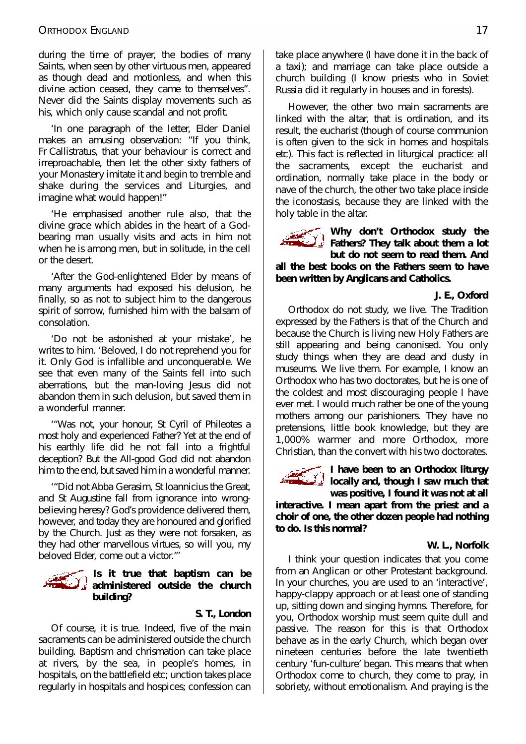during the time of prayer, the bodies of many Saints, when seen by other virtuous men, appeared as though dead and motionless, and when this divine action ceased, they came to themselves". Never did the Saints display movements such as his, which only cause scandal and not profit

'In one paragraph of the letter, Elder Daniel makes an amusing observation: "If you think, Fr Callistratus, that your behaviour is correct and irreproachable, then let the other sixty fathers of your Monastery imitate it and begin to tremble and shake during the services and Liturgies, and imagine what would happen!"

'He emphasised another rule also, that the divine grace which abides in the heart of a Godbearing man usually visits and acts in him not when he is among men, but in solitude, in the cell or the desert .

'After the God-enlightened Elder by means of many arguments had exposed his delusion, he finally, so as not to subject him to the dangerous spirit of sorrow, furnished him with the balsam of consolation.

'Do not be astonished at your mistake', he writes to him. 'Beloved, I do not reprehend you for it. Only God is infallible and unconquerable. We see that even many of the Saints fell into such aberrations, but the man-loving Jesus did not abandon them in such delusion, but saved them in a wonderful manner.

" Was not, your honour, St Cyril of Phileotes a most holy and experienced Father? Yet at the end of his earthly life did he not fall into a frightful deception? But the All-good God did not abandon him to the end, but saved him in a wonderful manner.

" Did not Abba G erasim, St loannicius the Great and St Augustine fall from ignorance into wrongbelieving heresy? G od's providence delivered them, however, and today they are honoured and glorified by the Church. Just as they were not forsaken, as they had other marvellous virtues, so will you, my beloved Elder, come out a victor."'

![](_page_18_Picture_8.jpeg)

**I s i t true th at bapti sm c an b e l** administered outside the church  $b$  **uilding?** 

#### *S. T., London*

Of course, it is true. Indeed, five of the main sacraments can be administered outside the church building. Baptism and chrismation can take place at rivers, by the sea, in people's homes, in hospitals, on the battlefield etc; unction takes place regularly in hospitals and hospices; confession can

take place anywhere (I have done it in the back of a taxi); and marriage can take place outside a church building (I know priests who in Soviet Russia did it regularly in houses and in forests).

However, the other two main sacraments are linked with the altar, that is ordination, and its result, the eucharist (though of course communion is often given to the sick in homes and hospitals etc). This fact is reflected in liturgical practice: all the sacraments, except the eucharist and ordination, normally take place in the body or nave of the church, the other two take place inside the iconostasis, because they are linked with the holy table in the altar.

![](_page_18_Picture_14.jpeg)

**Why don ' t O rthodox study th e Fathers? They tal k about them a l o t but do not seem to read them. An d**

**al l the best books on the Fathers seem to hav e been wri t ten by Angl i cans and Cathol i cs .**

#### *J. E. , O xfor d*

Orthodox do not study, we live. The Tradition expressed by the Fathers is that of the Church and because the Church is living new Holy Fathers are still appearing and being canonised. You only study things when they are dead and dusty in museums. We live them. For example, I know an O rthodox who has two doctorates, but he is one of the coldest and most discouraging people I have ever met. I would much rather be one of the young mothers among our parishioners. They have no pretensions, little book knowledge, but they are 1,000% warmer and more Orthodox, more Christian, than the convert with his two doctorates.

![](_page_18_Picture_19.jpeg)

**I have been to an O rthod ox l i turg y l ocal l y and, though I saw much tha t was positive, I found it was not at all** 

**i nteracti ve. I mean apart from the pri est and a choi r of one, the other dozen peopl e had nothi n g to do. I s thi s normal ?**

#### *W. L. , N orfol k*

I think your question indicates that you come from an Anglican or other Protestant background. In your churches, you are used to an 'interactive', happy-clappy approach or at least one of standing up, sitting down and singing hymns. Therefore, for you, Orthodox worship must seem quite dull and passive. The reason for this is that Orthodox behave as in the early Church, which began over nineteen centuries before the late twentieth century 'fun-culture' began. This means that when Orthodox come to church, they come to pray, in sobriety, without emotionalism. And praying is the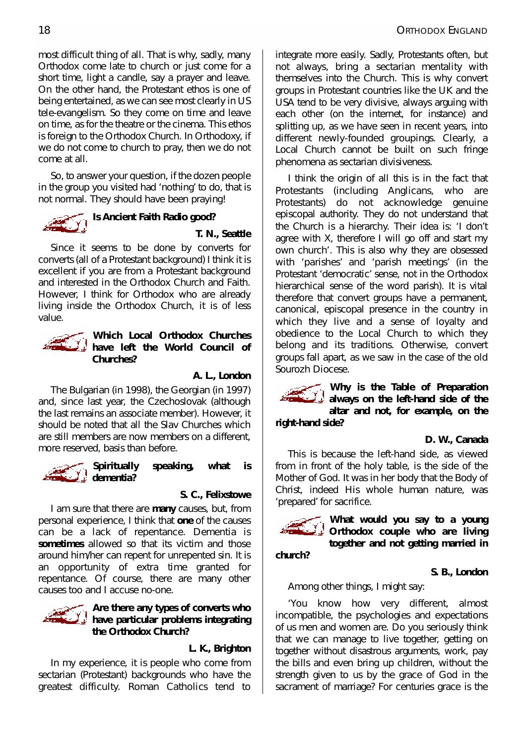most difficult thing of all. That is why, sadly, many Orthodox come late to church or just come for a short time, light a candle, say a prayer and leave. On the other hand, the Protestant ethos is one of being entertained, as we can see most clearly in US tele-evangelism. So they come on time and leave on time, as for the theatre or the cinema. This ethos is foreign to the Orthodox Church. In Orthodoxy, if we do not come to church to pray, then we do not come at all.

So, to answer your question, if the dozen people in the group you visited had 'nothing' to do, that is not normal. They should have been praying!

![](_page_19_Picture_3.jpeg)

**I s Anci ent Fai th Radi o go od ?**

*T. N . , Seattl e*

Since it seems to be done by converts for converts (all of a Protestant background) I think it is excellent if you are from a Protestant background and interested in the Orthodox Church and Faith. However, I think for Orthodox who are already living inside the Orthodox Church, it is of less val ue .

![](_page_19_Picture_7.jpeg)

**Which Local Orthodox Churches have left the World Council** of Churches?

*A. L. , Lo ndo n*

The Bulgarian (in 1998), the Georgian (in 1997) and, since last year, the Czechoslovak (although the last remains an associate member). However, it should be noted that all the Slav Churches which are still members are now members on a different more reserved, basis than before.

![](_page_19_Picture_11.jpeg)

**Spi ri tu al l y spe aki n g, what i s** dementia?

#### *S. C. , Fel i xstow e*

I am sure that there are many causes, but, from personal experience, I think that one of the causes can be a lack of repentance. Dementia is sometimes allowed so that its victim and those around him/her can repent for unrepented sin. It is an opportunity of extra time granted for repentance. Of course, there are many other causes too and I accuse no-one.

![](_page_19_Picture_15.jpeg)

**Are there any types of converts wh o have parti cul ar probl ems i ntegrati n g the Orthodox Church?** 

*L. K. , Bri ghto n*

In my experience, it is people who come from sectarian (Protestant) backgrounds who have the greatest difficulty. Roman Catholics tend to

integrate more easily. Sadly, Protestants often, but not always, bring a sectarian mentality with themselves into the Church. This is why convert groups in Protestant countries like the UK and the USA tend to be very divisive, always arguing with each other (on the internet for instance) and splitting up, as we have seen in recent years, into different newly-founded groupings. Clearly, a Local Church cannot be built on such fringe phenomena as sectarian divisiveness.

I think the origin of all this is in the fact that Protestants (including Anglicans, who are Protestants) do not acknowledge genuine episcopal authority. They do not understand that the Church is a hierarchy. Their idea is: 'I don't agree with  $X$ , therefore I will go off and start my own church'. This is also why they are obsessed with 'parishes' and 'parish meetings' (in the Protestant 'democratic' sense, not in the Orthodox hierarchical sense of the word parish). It is vital therefore that convert groups have a permanent canonical, episcopal presence in the country in which they live and a sense of loyalty and obedience to the Local Church to which they belong and its traditions. O therwise, convert groups fall apart, as we saw in the case of the old Sourozh D i ocese.

![](_page_19_Picture_21.jpeg)

*<b>Why* is the Table of Preparation **al ways on the l eft-hand si de of th e al tar and not, for exampl e, o n th e**  $right$ -hand side?

*D . W. , Canad a*

This is because the left-hand side, as viewed from in front of the holy table, is the side of the Mother of G od. It was in her body that the Body of Christ, indeed His whole human nature, was ' prepared' for sacrifice.

**church ?**

**What** would you say to a young **O rthod ox cou pl e wh o are l i vi n g together** and not getting married in

*S. B. , Lon do n*

Among other things, I might say:

'You know how very different, almost incompatible, the psychologies and expectations of us men and women are. Do you seriously think that we can manage to live together, getting on together without disastrous arguments, work, pay the bills and even bring up children, without the strength given to us by the grace of God in the sacrament of marriage? For centuries grace is the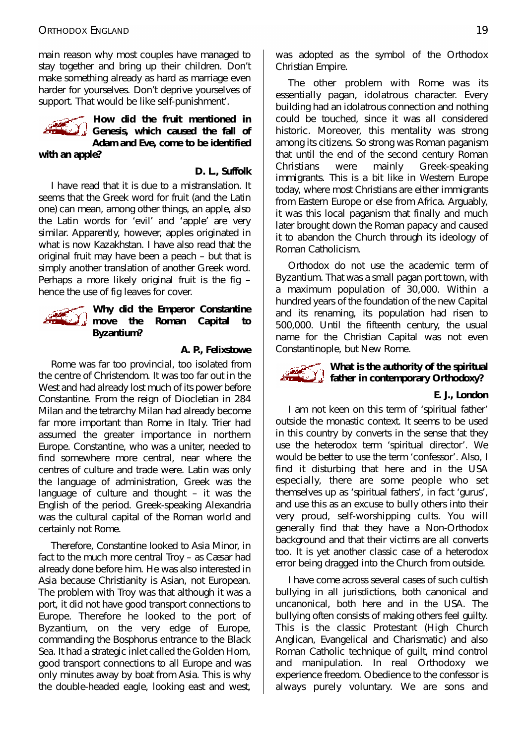main reason why most couples have managed to stay together and bring up their children. D on't make something already as hard as marriage even harder for yourselves. D on't deprive yourselves of support. That would be like self-punishment.

**H ow di d the fru i t men ti oned i n** *Genesis* which caused the fall of **Adam and Eve, come to be i denti fi e d wi th an appl e ?**

*D . L. , Suffol k*

I have read that it is due to a mistranslation. It seems that the Greek word for fruit (and the Latin one) can mean, among other things, an apple, also the Latin words for 'evil' and 'apple' are very similar. Apparently, however, apples originated in what is now Kazakhstan. I have also read that the original fruit may have been a peach - but that is simply another translation of another Greek word. Perhaps a more likely original fruit is the fig  $$ hence the use of fig leaves for cover.

**Why di d the Emperor Constanti n e move the Roman Capital to Byz anti um ?**

*A. P. , Fel i xstow e*

Rome was far too provincial, too isolated from the centre of Christendom. It was too far out in the West and had already lost much of its power before Constantine. From the reign of Diocletian in 284 Milan and the tetrarchy Milan had already become far more important than Rome in Italy. Trier had assumed the greater importance in northern Europe. Constantine, who was a uniter, needed to find somewhere more central, near where the centres of culture and trade were. Latin was only the language of administration, Greek was the language of culture and thought  $-$  it was the English of the period. G reek-speaking Alexandria was the cultural capital of the Roman world and certainly not Rome.

Therefore, Constantine looked to Asia Minor, in fact to the much more central Troy - as Cæsar had al ready done before him. He was also interested in Asia because Christianity is Asian, not European. The problem with Troy was that although it was a port, it did not have good transport connections to Europe. Therefore he looked to the port of Byzantium, on the very edge of Europe, commanding the Bosphorus entrance to the Black Sea. It had a strategic inlet called the Golden Horn, good transport connections to all Europe and was only minutes away by boat from Asia. This is why the double-headed eagle, looking east and west,

was adopted as the symbol of the Orthodox Christian Empire.

The other problem with Rome was its essentially pagan, idolatrous character. Every building had an idolatrous connection and nothing could be touched, since it was all considered historic. Moreover, this mentality was strong among its citizens. So strong was Roman paganism that until the end of the second century Roman Christians were mainly Greek-speaking immigrants. This is a bit like in Western Europe today, where most Christians are either immigrants from Eastern Europe or else from Africa. Arguably, it was this local paganism that finally and much later brought down the Roman papacy and caused it to abandon the Church through its ideology of *Roma n* Catholic*i s m*.

Orthodox do not use the academic term of Byzantium. That was a small pagan port town, with a maximum population of 30,000. Within a hundred years of the foundation of the new Capital and its renaming, its population had risen to 500,000. Until the fifteenth century, the usual name for the Christian Capital was not even Constantinople, but New Rome.

**What i s the authori ty of the spi ri tua l father i n contemporary O rthodoxy ?**

*E. J. , London*

I am not keen on this term of 'spiritual father' outside the monastic context. It seems to be used in this country by converts in the sense that they use the heterodox term 'spiritual director'. We would be better to use the term 'confessor'. Also, I find it disturbing that here and in the USA especially, there are some people who set themselves up as 'spiritual fathers', in fact 'qurus', and use this as an excuse to bully others into their very proud, self-worshipping cults. You will generally find that they have a Non-Orthodox background and that their victims are all converts too. It is yet another classic case of a heterodox error being dragged into the Church from outside.

I have come across several cases of such cultish bullying in all jurisdictions, both canonical and uncanonical, both here and in the USA. The bullying often consists of making others feel quilty. This is the classic Protestant (High Church Anglican, Evangelical and Charismatic) and also Roman Catholic technique of quilt, mind control and manipulation. In real Orthodoxy we experience freedom. O bedience to the confessor is always purely voluntary. We are sons and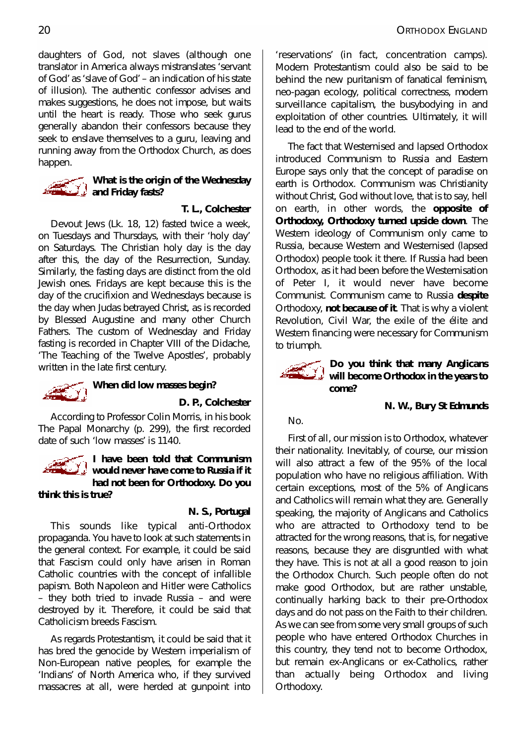daughters of God, not slaves (although one translator in America always mistranslates 'servant of  $God'$  as 'slave of  $God'$  – an indication of his state of illusion). The authentic confessor advises and makes suggestions, he does not impose, but waits until the heart is ready. Those who seek gurus generally abandon their confessors because they seek to enslave themselves to a guru, leaving and running away from the Orthodox Church, as does happen.

![](_page_21_Picture_2.jpeg)

**What i s the ori gi n of the Wednesda y** *d* and Friday fasts?

#### *T. L. , Col cheste r*

D evout Jews (Lk. 18, 12) fasted twice a week, on Tuesdays and Thursdays, with their 'holy day' on Saturdays. The Christian holy day is the day after this, the day of the Resurrection, Sunday. Similarly, the fasting days are distinct from the old Jewish ones. Fridays are kept because this is the day of the crucifixion and Wednesdays because is the day when Judas betrayed Christ as is recorded by Blessed Augustine and many other Church Fathers. The custom of Wednesday and Friday fasting is recorded in Chapter VIII of the *Didache*, 'The Teaching of the Twelve Apostles', probably written in the late first century.

When did low 
$$
me
$$

**asses** begin?

*D . P. , Col cheste r*

According to Professor Colin Morris, in his book *The Papal Monarchy (p. 299), the first recorded* date of such 'low masses' is 1140.

![](_page_21_Picture_10.jpeg)

**l** have been told that Communism *l* **, would never have come to Russia if it had not been for O rth odoxy. D o yo u**

**think this** is **true?** 

*N. S., Portugal* 

This sounds like typical anti-Orthodox propaganda. You have to look at such statements in the general context For example, it could be said that Fascism could only have arisen in Roman Catholic countries with the concept of infallible papism. Both N apoleon and Hitler were Catholics  $-$  they both tried to invade Russia  $-$  and were destroyed by it. Therefore, it could be said that Catholicism breeds Fascism.

As regards Protestantism, it could be said that it has bred the genocide by Western imperialism of Non-European native peoples, for example the 'Indians' of N orth America who, if they survived massacres at all, were herded at gunpoint into

' reservations' (in fact, concentration camps). Modern Protestantism could also be said to be behind the new puritanism of fanatical feminism, neo-pagan ecology, political correctness, modern surveillance capitalism, the busybodying in and exploitation of other countries. Ultimately, it will lead to the end of the world.

The fact that Westernised and lapsed Orthodox introduced Communism to Russia and Eastern Europe says only that the concept of paradise on earth is Orthodox. Communism was Christianity without Christ, God without love, that is to say, hell on earth, in other words, the opposite of **O rthodoxy, O rthodoxy turned upsi de dow n**. Th e Western ideology of Communism only came to Russia, because Western and Westernised (lapsed O rthodox) people took it there. If Russia had been O rthodox, as it had been before the Westernisation of Peter I, it would never have become Communist Communism came to Russia despite O rthodoxy, not because of it. That is why a violent Revolution, Civil War, the exile of the élite and Western financing were necessary for Communism to triumph.

![](_page_21_Picture_18.jpeg)

*Do* **you think that many Anglicans wi ll become O rthodox i n the year s t o** come?

*N . W. , Bury St Edmund s*

#### $No.$

First of all, our mission is to Orthodox, whatever their nationality. Inevitably, of course, our mission will also attract a few of the 95% of the local population who have no religious affiliation. With certain exceptions, most of the 5% of Anglicans and Catholics will remain what they are. G enerally speaking, the majority of Anglicans and Catholics who are attracted to Orthodoxy tend to be attracted for the wrong reasons, that is, for negative reasons, because they are disgruntled with what they have. This is not at all a good reason to join the Orthodox Church. Such people often do not make good Orthodox, but are rather unstable, continually harking back to their pre-Orthodox days and do not pass on the Faith to their children. As we can see from some very small groups of such people who have entered Orthodox Churches in this country, they tend not to become Orthodox, but remain ex-Anglicans or ex-Catholics, rather than actually being Orthodox and living O rthodoxy.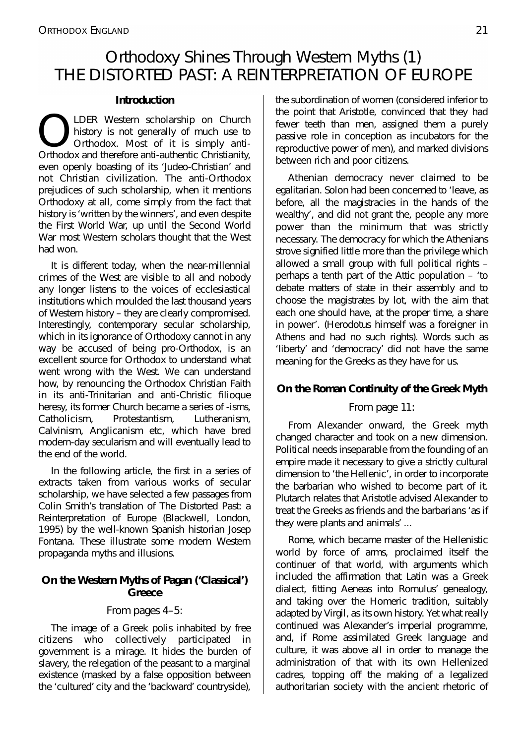### O rthodoxy Shines Through Western Myths (1) THE DISTORTED PAST: A REINTERPRETATION OF FUROPE

#### **Introduction**

**O** LDER Western scholarship on Church history is not generally of much use to Orthodox. Most of it is simply anti-<br>Orthodox and therefore anti-authentic Christianity LDER Western scholarship on Church history is not generally of much use to Orthodox. Most of it is simply antieven openly boasting of its 'Judeo-Christian' and not Christian civilization. The anti-Orthodox prejudices of such scholarship, when it mentions Orthodoxy at all, come simply from the fact that history is 'written by the winners', and even despite the First World War, up until the Second World War most Western scholars thought that the West had won.

It is different today, when the near-millennial crimes of the West are visible to all and nobody any longer listens to the voices of ecclesiastical institutions which moulded the last thousand years of Western history - they are clearly compromised. Interestingly, contemporary secular scholarship, which in its ignorance of Orthodoxy cannot in any way be accused of being pro-Orthodox, is an excellent source for Orthodox to understand what went wrong with the West. We can understand how, by renouncing the Orthodox Christian Faith in its anti-Trinitarian and anti-Christic *filioque* heresy, its former Church became a series of -isms, Catholicism, Protestantism, Lutheranism, Calvinism, Anglicanism etc, which have bred modern-day secularism and will eventually lead to the end of the world.

In the following article, the first in a series of extracts taken from various works of secular scholarship, we have selected a few passages from Colin Smith's translation of *The Distorted Past*: a Reinterpretation of Europe (Blackwell, London, 1995) by the well-known Spanish historian Josep Fontana. These illustrate some modern Western propaganda myths and illusions.

#### **O n the Western Myths of Pagan (' Cl assi c al') G reece**

#### *From pages 4–5 :*

The image of a Greek polis inhabited by free citizens who collectively participated in government is a mirage. It hides the burden of slavery, the relegation of the peasant to a marginal existence (masked by a false opposition between the ' cultured' city and the 'backward' countryside),

the subordination of women (considered inferior to the point that Aristotle, convinced that they had fewer teeth than men, assigned them a purely passive role in conception as incubators for the reproductive power of men), and marked divisions between rich and poor citizens.

Athenian democracy never claimed to be egalitarian. Solon had been concerned to 'leave, as before, all the magistracies in the hands of the weal thy', and did not grant the, people any more power than the minimum that was strictly necessary. The democracy for which the Athenians strove signified little more than the privilege which allowed a small group with full political rights perhaps a tenth part of the Attic population  $-$  'to debate matters of state in their assembly and to choose the magistrates by lot, with the aim that each one should have, at the proper time, a share in power'. (Herodotus himself was a foreigner in Athens and had no such rights). Words such as 'liberty' and 'democracy' did not have the same meaning for the G reeks as they have for us.

#### **O n the Roman Co nti nui ty of the G reek Myth**

#### *From page 1 1 :*

From Alexander onward, the Greek myth changed character and took on a new dimension. Political needs inseparable from the founding of an empire made it necessary to give a strictly cultural dimension to 'the Hellenic', in order to incorporate the barbarian who wished to become part of it. Plutarch relates that Aristotle advised Alexander to treat the G reeks as friends and the barbarians 'as if they were plants and animals' ...

Rome, which became master of the Hellenistic world by force of arms, proclaimed itself the continuer of that world, with arguments which included the affirmation that Latin was a Greek di alect fitting Aeneas into Romulus' geneal ogy, and taking over the Homeric tradition, suitably adapted by Virgil, as its own history. Yet what really continued was Alexander's imperial programme, and, if Rome assimilated Greek language and culture, it was above all in order to manage the administration of that with its own Hellenized cadres, topping off the making of a legalized authoritarian society with the ancient rhetoric of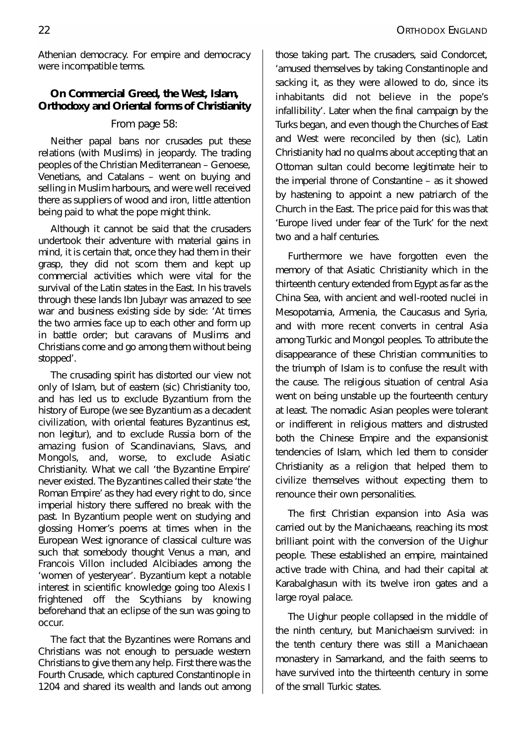Athenian democracy. For empire and democracy were incompatible terms.

**O n Com merci al G re ed, the West, I sl am , O rthod ox y an d O ri ental forms of Chri sti ani t y**

#### *From page 58 :*

Neither papal bans nor crusades put these relations (with Muslims) in jeopardy. The trading peoples of the Christian Mediterranean - G enoese, Venetians, and Catalans - went on buying and selling in Muslim harbours, and were well received there as suppliers of wood and iron, little attention being paid to what the pope might think.

Although it cannot be said that the crusaders undertook their adventure with material gains in mind, it is certain that, once they had them in their grasp, they did not scom them and kept up commercial activities which were vital for the survival of the Latin states in the East. In his travels through these lands Ibn Jubayr was amazed to see war and business existing side by side: 'At times the two armies face up to each other and form up in battle order; but caravans of Muslims and Christians come and go among them without being stopped'.

The crusading spirit has distorted our view not only of Islam, but of eastern *(sic)* Christianity too, and has led us to exclude Byzantium from the history of Europe (we see Byzantium as a decadent civilization, with oriental features *Byzantinus* est *non legitur*), and to exclude Russia born of the amazing fusion of Scandinavians, Slavs, and Mongols, and, worse, to exclude Asiatic Christianity. What we call 'the Byz antine Empire' never existed. The Byzantines called their state 'the Roman Empire' as they had every right to do, since imperial history there suffered no break with the past. In Byzantium people went on studying and glossing Homer's poems at times when in the European West ignorance of classical culture was such that somebody thought Venus a man, and Francois Villon included Alcibiades among the ' women of yesteryear'. Byzantium kept a notable interest in scientific knowledge going too Alexis I frightened off the Scythians by knowing beforehand that an eclipse of the sun was going to occur .

The fact that the Byzantines were Romans and Christians was not enough to persuade western Christians to give them any help. First there was the Fourth Crusade, which captured Constantinople in 1204 and shared its wealth and lands out among those taking part. The crusaders, said Condorcet, ' amused themselves by taking Constantinople and sacking it, as they were allowed to do, since its inhabitants did not believe in the pope's infallibility'. Later when the final campaign by the Turks began, and even though the Churches of East and West were reconciled by then *(sic)*, Latin Christianity had no qualms about accepting that an O ttoman sultan could become legitimate heir to the imperial throne of Constantine – as it showed by hastening to appoint a new patriarch of the Church in the East. The price paid for this was that 'Europe lived under fear of the Turk' for the next two and a half centuries.

Furthermore we have forgotten even the memory of that Asiatic Christianity which in the thirteenth century extended from Egypt as far as the China Sea, with ancient and well-rooted nuclei in Mesopotamia, Armenia, the Caucasus and Syria, and with more recent converts in central Asia among Turkic and Mongol peoples. To attribute the disappearance of these Christian communities to the triumph of Islam is to confuse the result with the cause. The religious situation of central Asia went on being unstable up the fourteenth century at least. The nomadic Asian peoples were tolerant or indifferent in religious matters and distrusted both the Chinese Empire and the expansionist tendencies of Islam, which led them to consider Christianity as a religion that helped them to civilize themselves without expecting them to renounce their own personalities.

The first Christian expansion into Asia was carried out by the Manichaeans, reaching its most brilliant point with the conversion of the Uighur people. These established an empire, maintained active trade with China, and had their capital at Karabalghasun with its twelve iron gates and a large royal palace.

The Uighur people collapsed in the middle of the ninth century, but Manichaeism survived: in the tenth century there was still a Manichaean monastery in Samarkand, and the faith seems to have survived into the thirteenth century in some of the small Turkic states.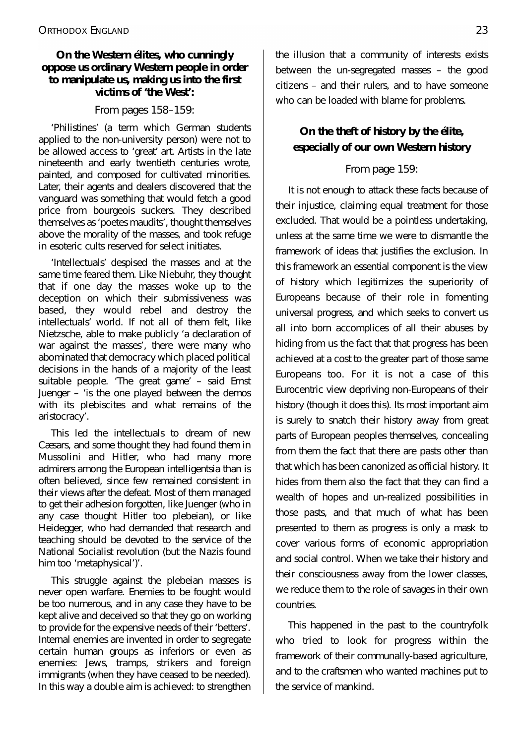**O n the Western él i tes, who cunni ngl y oppose** us ordinary Western people in order **to mani p ul ate us, ma ki ng us i nto the fi rs t vi cti ms of 'the West' :**

#### *From pages 1 58–1 59 :*

'Philistines' (a term which German students applied to the non-university person) were not to be allowed access to 'great' art. Artists in the late nineteenth and early twentieth centuries wrote, painted, and composed for cultivated minorities. Later, their agents and dealers discovered that the vanguard was something that would fetch a good price from bourgeois suckers. They described themsel ves as ' *poetes maudits*' , thought themsel ve s above the morality of the masses, and took refuge in esoteric cults reserved for select initiates.

'Intellectuals' despised the masses and at the same time feared them. Like Niebuhr, they thought that if one day the masses woke up to the deception on which their submissiveness was based, they would rebel and destroy the intellectuals world. If not all of them felt. like Nietzsche, able to make publicly 'a declaration of war against the masses', there were many who abominated that democracy which placed political decisions in the hands of a majority of the least sui table people. 'The great game' - said Ernst Luenger – 'is the one played between the demos with its plebiscites and what remains of the ari stocracy' .

This led the intellectuals to dream of new Cæsars, and some thought they had found them in Mussolini and Hitler, who had many more admirers among the European intelligentsia than is often believed, since few remained consistent in their views after the defeat. Most of them managed to get their adhesion forgotten, like Juenger (who in any case thought Hitler too plebeian), or like Heidegger, who had demanded that research and teaching should be devoted to the service of the National Socialist revolution (but the Nazis found him too 'metaphysical')'.

This struggle against the plebeian masses is never open warfare. Enemies to be fought would be too numerous, and in any case they have to be kept alive and deceived so that they go on working to provide for the expensive needs of their 'betters'. Internal enemies are invented in order to segregate certain human groups as inferiors or even as enemies: Jews, tramps, strikers and foreign immigrants (when they have ceased to be needed). In this way a double aim is achieved: to strengthen

the illusion that a community of interests exists between the un-segregated masses - the good citizens - and their rulers, and to have someone who can be loaded with blame for problems.

**O n the theft of hi story by the él i te , espe ci al l y of our own Western hi story** 

#### *From page 1 59 :*

It is not enough to attack these facts because of their injustice, claiming equal treatment for those excluded. That would be a pointless undertaking, unless at the same time we were to dismantle the framework of ideas that justifies the exclusion. In this framework an essential component is the view of history which legitimizes the superiority of Europeans because of their role in fomenting universal progress, and which seeks to convert us all into born accomplices of all their abuses by hiding from us the fact that that progress has been achieved at a cost to the greater part of those same Europeans too. For it is not a case of this Eurocentric view depriving non-Europeans of their history (though it does this). Its most important aim is surely to snatch their history away from great parts of European peoples themselves, concealing from them the fact that there are pasts other than that which has been canonized as official history. It hides from them also the fact that they can find a wealth of hopes and un-realized possibilities in those pasts, and that much of what has been presented to them as progress is only a mask to cover various forms of economic appropriation and social control. When we take their history and their consciousness away from the lower classes, we reduce them to the role of savages in their own countri es .

This happened in the past to the countryfolk who tried to look for progress within the framework of their communally-based agriculture, and to the craftsmen who wanted machines put to the service of mankind.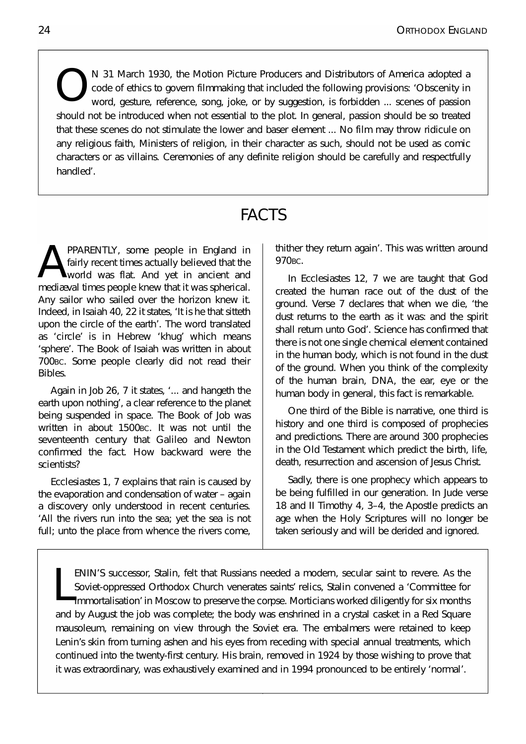O N 31 March 1930, the Motion Picture Producers and Distributors of America adopted a code of ethics to govern filmmaking that included the following provisions: 'O bscenity in word, gesture, reference, song, joke, or by suggestion, is forbidden ... scenes of passion should not be introduced when not essential to the plot. In general, passion should be so treated that these scenes do not stimulate the lower and baser element ... No film may throw ridicule on any religious faith, Ministers of religion, in their character as such, should not be used as comic characters or as villains. Ceremonies of any definite religion should be carefully and respectfully handled'.

# **FACTS**

PPARENTLY, some people in England in fairly recent times actually believed that the world was flat. And yet in ancient and mediaeval times people knew that it was spherical. PPARENTLY, some people in England in fairly recent times actually believed that the world was flat. And yet in ancient and Any sailor who sailed over the horizon knew it Indeed, in Isai ah 40, 22 it states, 'It is he that sitteth upon the circle of the earth'. The word translated as 'circle' is in Hebrew 'khug' which means 'sphere'. The Book of Isaiah was written in about 700Bc. Some people clearly did not read their **Bibles** 

Again in Job 26, 7 it states, '... and hangeth the earth upon nothing', a clear reference to the planet being suspended in space. The Book of Job was written in about 1500Bc. It was not until the seventeenth century that Galileo and Newton confirmed the fact. How backward were the scientists?

Ecclesiastes 1, 7 explains that rain is caused by the evaporation and condensation of water - again a discovery only understood in recent centuries. 'All the rivers run into the sea; yet the sea is not full; unto the place from whence the rivers come,

thi ther they return again'. This was written around 970<sub>BC</sub>

In Ecclesiastes 12, 7 we are taught that God created the human race out of the dust of the ground. Verse 7 declares that when we die, 'the dust returns to the earth as it was and the spirit shall return unto God'. Science has confirmed that there is not one single chemical element contained in the human body, which is not found in the dust of the ground. When you think of the complexity of the human brain, DNA, the ear, eye or the human body in general, this fact is remarkable.

One third of the Bible is narrative, one third is history and one third is composed of prophecies and predictions. There are around 300 prophecies in the Old Testament which predict the birth, life, death, resurrection and ascension of Jesus Christ.

Sadly, there is one prophecy which appears to be being fulfilled in our generation. In Jude verse 18 and II Timothy 4, 3-4, the Apostle predicts an age when the Holy Scriptures will no longer be taken seriously and will be derided and ignored.

L ENIN'S successor, Stalin, felt that Russians needed a modern, secular saint to revere. As the Soviet-oppressed Orthodox Church venerates saints' relics, Stalin convened a 'Committee for Im mortalisation' in Moscow to preserve the corpse. Morticians worked diligently for six months and by August the job was complete; the body was enshrined in a crystal casket in a Red Square mausoleum, remaining on view through the Soviet era. The embalmers were retained to keep Lenin's skin from turning ashen and his eyes from receding with special annual treatments, which continued into the twenty-first century. His brain, removed in 1924 by those wishing to prove that it was extraordinary, was exhaustively examined and in 1994 pronounced to be entirely 'normal'.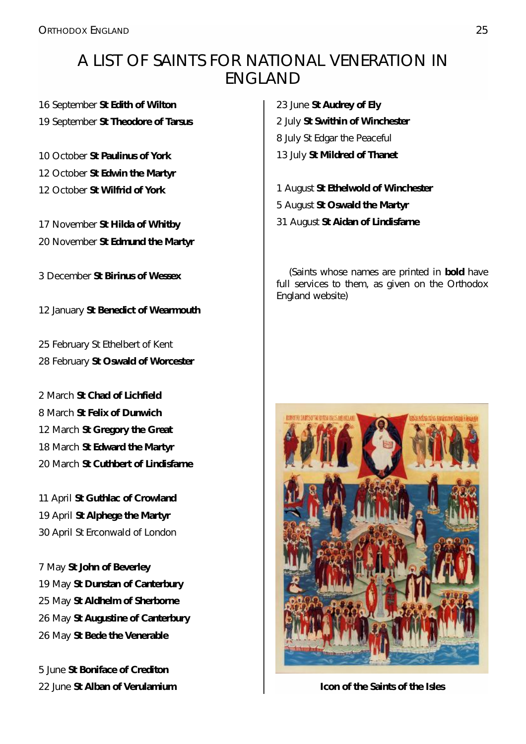# A LIST OF SAINTS FOR NATIONAL VENFRATION IN **ENGLAND**

16 September St Edith of Wilton 19 September St Theodore of Tarsus

- 1 0 O ctobe r **St Paul i nus of Y or k** 12 O ctober St Edwin the Martyr 1 2 O ctobe r **St Wi l fri d of Yor k**
- 17 November St Hilda of Whitby 20 November St Edmund the Martyr
- 3 D ecembe r **St Bi ri nus of Wesse x**
- 12 January St Benedict of Wearmouth

25 February St Ethelbert of Kent 28 February St O swald of Worcester

2 Marc h **St Chad of Li chfi el d** 8 Marc h **St Fel i x of D unwi c h** 12 March St G regory the G reat 18 March St Edward the Martyr 20 March St Cuthbert of Lindisfarne

11 April St Guthlac of Crowland 19 April St Alphege the Martyr 30 April St Erconwald of London

7 Ma y **St John of Beverl e y** 19 May St D unstan of Canterbury 25 May St Aldhelm of Sherborne 26 May St Augustine of Canterbury 26 May St Bede the Venerable

 $5$  June St Boniface of Crediton 22 June St Alban of Verulamium

2 3 Jun e **St Au drey of El y** 2 Jul y **St Swi thi n of Wi ncheste r** 8 July St Edgar the Peaceful 1 3 Jul y **St Mi l dred of T hane t**

1 August St Ethel wold of Winchester 5 Augus t **St O swal d the Marty r** 31 August St Aidan of Lindisfarne

(Saints whose names are printed in bold have full services to them, as given on the Orthodox England website)

![](_page_26_Picture_15.jpeg)

*I con of the Sai nts of the I sl e s*